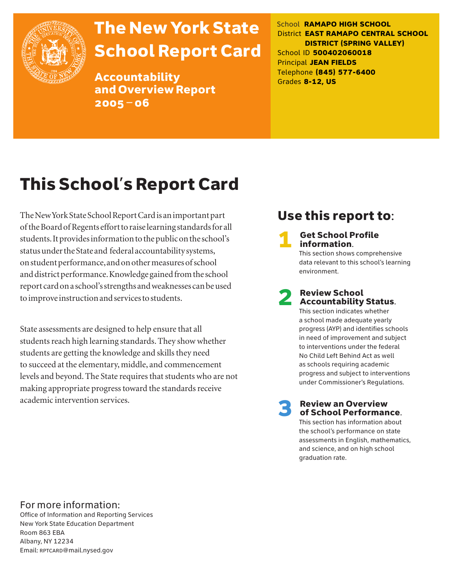

# The New York State School Report Card

Accountability and Overview Report 2005–06

School **RAMAPO HIGH SCHOOL** District **EAST RAMAPO CENTRAL SCHOOL DISTRICT (SPRING VALLEY)** School ID **500402060018** Principal **JEAN FIELDS** Telephone **(845) 577-6400** Grades **8-12, US**

# This School's Report Card

The New York State School Report Card is an important part of the Board of Regents effort to raise learning standards for all students. It provides information to the public on the school's status under the State and federal accountability systems, on student performance, and on other measures of school and district performance. Knowledge gained from the school report card on a school's strengths and weaknesses can be used to improve instruction and services to students.

State assessments are designed to help ensure that all students reach high learning standards. They show whether students are getting the knowledge and skills they need to succeed at the elementary, middle, and commencement levels and beyond. The State requires that students who are not making appropriate progress toward the standards receive academic intervention services.

# Use this report to:

**Get School Profile** information. This section shows comprehensive data relevant to this school's learning

# 2 Review School Accountability Status.

environment.

This section indicates whether a school made adequate yearly progress (AYP) and identifies schools in need of improvement and subject to interventions under the federal No Child Left Behind Act as well as schools requiring academic progress and subject to interventions under Commissioner's Regulations.

**Review an Overview** of School Performance.

This section has information about the school's performance on state assessments in English, mathematics, and science, and on high school graduation rate.

### For more information:

Office of Information and Reporting Services New York State Education Department Room 863 EBA Albany, NY 12234 Email: RPTCARD@mail.nysed.gov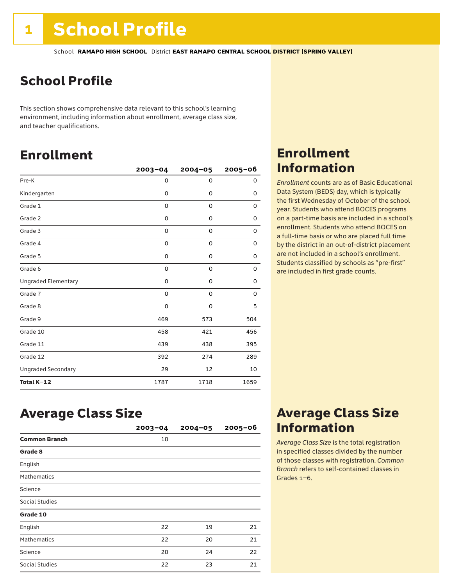# School Profile

This section shows comprehensive data relevant to this school's learning environment, including information about enrollment, average class size, and teacher qualifications.

# Enrollment

|                            | $2003 - 04$ | $2004 - 05$ | 2005-06     |
|----------------------------|-------------|-------------|-------------|
| Pre-K                      | 0           | $\Omega$    | 0           |
| Kindergarten               | 0           | $\mathbf 0$ | 0           |
| Grade 1                    | 0           | 0           | 0           |
| Grade 2                    | 0           | 0           | 0           |
| Grade 3                    | 0           | 0           | 0           |
| Grade 4                    | 0           | 0           | 0           |
| Grade 5                    | 0           | 0           | 0           |
| Grade 6                    | 0           | 0           | 0           |
| <b>Ungraded Elementary</b> | 0           | 0           | 0           |
| Grade 7                    | 0           | $\mathbf 0$ | $\mathbf 0$ |
| Grade 8                    | 0           | $\mathbf 0$ | 5           |
| Grade 9                    | 469         | 573         | 504         |
| Grade 10                   | 458         | 421         | 456         |
| Grade 11                   | 439         | 438         | 395         |
| Grade 12                   | 392         | 274         | 289         |
| <b>Ungraded Secondary</b>  | 29          | 12          | 10          |
| Total K-12                 | 1787        | 1718        | 1659        |

## Enrollment Information

*Enrollment* counts are as of Basic Educational Data System (BEDS) day, which is typically the first Wednesday of October of the school year. Students who attend BOCES programs on a part-time basis are included in a school's enrollment. Students who attend BOCES on a full-time basis or who are placed full time by the district in an out-of-district placement are not included in a school's enrollment. Students classified by schools as "pre-first" are included in first grade counts.

## Average Class Size

|                      | $2003 - 04$ | $2004 - 05$ | $2005 - 06$ |
|----------------------|-------------|-------------|-------------|
| <b>Common Branch</b> | 10          |             |             |
| Grade 8              |             |             |             |
| English              |             |             |             |
| <b>Mathematics</b>   |             |             |             |
| Science              |             |             |             |
| Social Studies       |             |             |             |
| Grade 10             |             |             |             |
| English              | 22          | 19          | 21          |
| <b>Mathematics</b>   | 22          | 20          | 21          |
| Science              | 20          | 24          | 22          |
| Social Studies       | 22          | 23          | 21          |

## Average Class Size Information

*Average Class Size* is the total registration in specified classes divided by the number of those classes with registration. *Common Branch* refers to self-contained classes in Grades 1–6.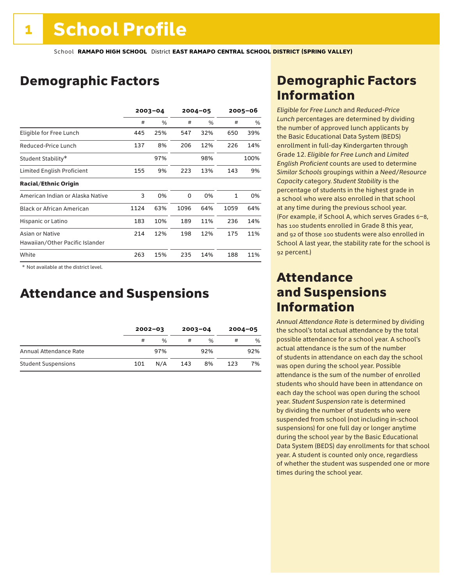# Demographic Factors

|                                                    | $2003 - 04$ |     |      | $2004 - 05$ |      | 2005-06 |
|----------------------------------------------------|-------------|-----|------|-------------|------|---------|
|                                                    | #           | %   | #    | %           | #    | %       |
| Eligible for Free Lunch                            | 445         | 25% | 547  | 32%         | 650  | 39%     |
| Reduced-Price Lunch                                | 137         | 8%  | 206  | 12%         | 226  | 14%     |
| Student Stability*                                 |             | 97% |      | 98%         |      | 100%    |
| Limited English Proficient                         | 155         | 9%  | 223  | 13%         | 143  | 9%      |
| <b>Racial/Ethnic Origin</b>                        |             |     |      |             |      |         |
| American Indian or Alaska Native                   | 3           | 0%  | 0    | 0%          | 1    | 0%      |
| <b>Black or African American</b>                   | 1124        | 63% | 1096 | 64%         | 1059 | 64%     |
| Hispanic or Latino                                 | 183         | 10% | 189  | 11%         | 236  | 14%     |
| Asian or Native<br>Hawaiian/Other Pacific Islander | 214         | 12% | 198  | 12%         | 175  | 11%     |
| White                                              | 263         | 15% | 235  | 14%         | 188  | 11%     |

 \* Not available at the district level.

## Attendance and Suspensions

|                            |     | $2002 - 03$ |     | $2003 - 04$   |     | $2004 - 05$   |
|----------------------------|-----|-------------|-----|---------------|-----|---------------|
|                            | #   | $\%$        | #   | $\frac{0}{6}$ | #   | $\frac{0}{0}$ |
| Annual Attendance Rate     |     | 97%         |     | 92%           |     | 92%           |
| <b>Student Suspensions</b> | 101 | N/A         | 143 | 8%            | 123 | 7%            |

# Demographic Factors Information

*Eligible for Free Lunch* and *Reduced*-*Price Lunch* percentages are determined by dividing the number of approved lunch applicants by the Basic Educational Data System (BEDS) enrollment in full-day Kindergarten through Grade 12. *Eligible for Free Lunch* and *Limited English Proficient* counts are used to determine *Similar Schools* groupings within a *Need*/*Resource Capacity* category. *Student Stability* is the percentage of students in the highest grade in a school who were also enrolled in that school at any time during the previous school year. (For example, if School A, which serves Grades 6–8, has 100 students enrolled in Grade 8 this year, and 92 of those 100 students were also enrolled in School A last year, the stability rate for the school is 92 percent.)

### Attendance and Suspensions Information

*Annual Attendance Rate* is determined by dividing the school's total actual attendance by the total possible attendance for a school year. A school's actual attendance is the sum of the number of students in attendance on each day the school was open during the school year. Possible attendance is the sum of the number of enrolled students who should have been in attendance on each day the school was open during the school year. *Student Suspension* rate is determined by dividing the number of students who were suspended from school (not including in-school suspensions) for one full day or longer anytime during the school year by the Basic Educational Data System (BEDS) day enrollments for that school year. A student is counted only once, regardless of whether the student was suspended one or more times during the school year.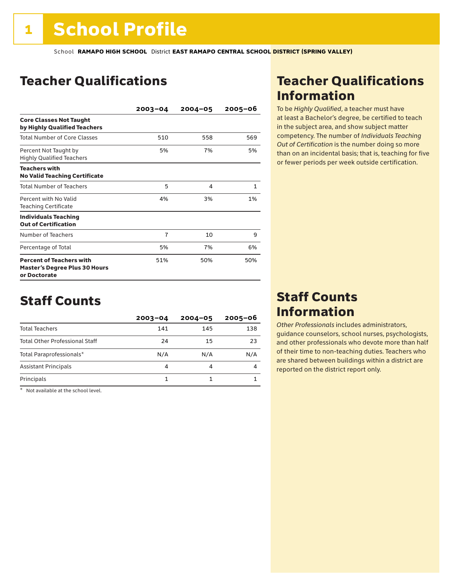# Teacher Qualifications

|                                                                                         | $2003 - 04$    | $2004 - 05$ | $2005 - 06$  |
|-----------------------------------------------------------------------------------------|----------------|-------------|--------------|
| <b>Core Classes Not Taught</b><br>by Highly Qualified Teachers                          |                |             |              |
| <b>Total Number of Core Classes</b>                                                     | 510            | 558         | 569          |
| Percent Not Taught by<br><b>Highly Qualified Teachers</b>                               | 5%             | 7%          | 5%           |
| <b>Teachers with</b><br><b>No Valid Teaching Certificate</b>                            |                |             |              |
| <b>Total Number of Teachers</b>                                                         | 5              | 4           | $\mathbf{1}$ |
| Percent with No Valid<br><b>Teaching Certificate</b>                                    | 4%             | 3%          | 1%           |
| <b>Individuals Teaching</b><br><b>Out of Certification</b>                              |                |             |              |
| Number of Teachers                                                                      | $\overline{7}$ | 10          | 9            |
| Percentage of Total                                                                     | 5%             | 7%          | 6%           |
| <b>Percent of Teachers with</b><br><b>Master's Degree Plus 30 Hours</b><br>or Doctorate | 51%            | 50%         | 50%          |

## Staff Counts

|                                       | $2003 - 04$ | $2004 - 05$ | $2005 - 06$ |
|---------------------------------------|-------------|-------------|-------------|
| <b>Total Teachers</b>                 | 141         | 145         | 138         |
| <b>Total Other Professional Staff</b> | 24          | 15          | 23          |
| Total Paraprofessionals*              | N/A         | N/A         | N/A         |
| <b>Assistant Principals</b>           | 4           |             |             |
| Principals                            |             |             |             |

\* Not available at the school level.

# Teacher Qualifications Information

To be *Highly Qualified*, a teacher must have at least a Bachelor's degree, be certified to teach in the subject area, and show subject matter competency. The number of *Individuals Teaching Out of Certification* is the number doing so more than on an incidental basis; that is, teaching for five or fewer periods per week outside certification.

## Staff Counts Information

*Other Professionals* includes administrators, guidance counselors, school nurses, psychologists, and other professionals who devote more than half of their time to non-teaching duties. Teachers who are shared between buildings within a district are reported on the district report only.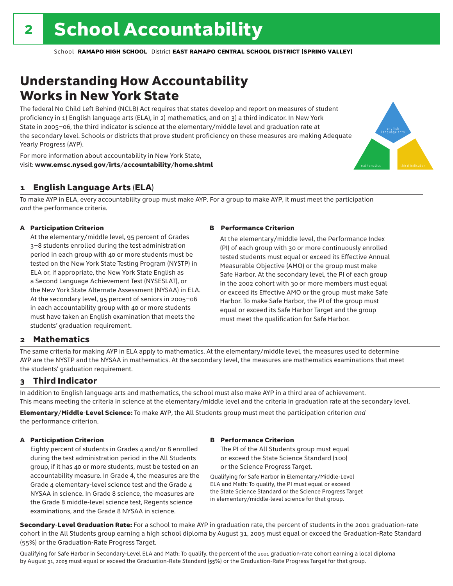# Understanding How Accountability Works in New York State

The federal No Child Left Behind (NCLB) Act requires that states develop and report on measures of student proficiency in 1) English language arts (ELA), in 2) mathematics, and on 3) a third indicator. In New York State in 2005–06, the third indicator is science at the elementary/middle level and graduation rate at the secondary level. Schools or districts that prove student proficiency on these measures are making Adequate Yearly Progress (AYP).



For more information about accountability in New York State, visit: www.emsc.nysed.gov/irts/accountability/home.shtml

#### 1 English Language Arts (ELA)

To make AYP in ELA, every accountability group must make AYP. For a group to make AYP, it must meet the participation *and* the performance criteria.

#### A Participation Criterion

At the elementary/middle level, 95 percent of Grades 3–8 students enrolled during the test administration period in each group with 40 or more students must be tested on the New York State Testing Program (NYSTP) in ELA or, if appropriate, the New York State English as a Second Language Achievement Test (NYSESLAT), or the New York State Alternate Assessment (NYSAA) in ELA. At the secondary level, 95 percent of seniors in 2005–06 in each accountability group with 40 or more students must have taken an English examination that meets the students' graduation requirement.

#### B Performance Criterion

At the elementary/middle level, the Performance Index (PI) of each group with 30 or more continuously enrolled tested students must equal or exceed its Effective Annual Measurable Objective (AMO) or the group must make Safe Harbor. At the secondary level, the PI of each group in the 2002 cohort with 30 or more members must equal or exceed its Effective AMO or the group must make Safe Harbor. To make Safe Harbor, the PI of the group must equal or exceed its Safe Harbor Target and the group must meet the qualification for Safe Harbor.

#### 2 Mathematics

The same criteria for making AYP in ELA apply to mathematics. At the elementary/middle level, the measures used to determine AYP are the NYSTP and the NYSAA in mathematics. At the secondary level, the measures are mathematics examinations that meet the students' graduation requirement.

#### 3 Third Indicator

In addition to English language arts and mathematics, the school must also make AYP in a third area of achievement. This means meeting the criteria in science at the elementary/middle level and the criteria in graduation rate at the secondary level.

Elementary/Middle-Level Science: To make AYP, the All Students group must meet the participation criterion *and* the performance criterion.

#### A Participation Criterion

Eighty percent of students in Grades 4 and/or 8 enrolled during the test administration period in the All Students group, if it has 40 or more students, must be tested on an accountability measure. In Grade 4, the measures are the Grade 4 elementary-level science test and the Grade 4 NYSAA in science. In Grade 8 science, the measures are the Grade 8 middle-level science test, Regents science examinations, and the Grade 8 NYSAA in science.

#### B Performance Criterion

The PI of the All Students group must equal or exceed the State Science Standard (100) or the Science Progress Target.

Qualifying for Safe Harbor in Elementary/Middle-Level ELA and Math: To qualify, the PI must equal or exceed the State Science Standard or the Science Progress Target in elementary/middle-level science for that group.

Secondary-Level Graduation Rate: For a school to make AYP in graduation rate, the percent of students in the 2001 graduation-rate cohort in the All Students group earning a high school diploma by August 31, 2005 must equal or exceed the Graduation-Rate Standard (55%) or the Graduation-Rate Progress Target.

Qualifying for Safe Harbor in Secondary-Level ELA and Math: To qualify, the percent of the 2001 graduation-rate cohort earning a local diploma by August 31, 2005 must equal or exceed the Graduation-Rate Standard (55%) or the Graduation-Rate Progress Target for that group.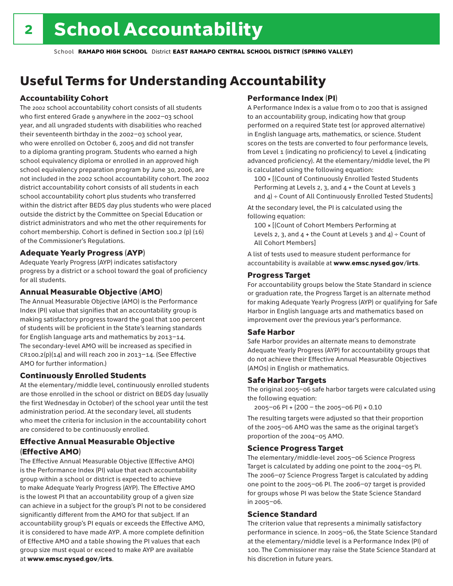# Useful Terms for Understanding Accountability

#### Accountability Cohort

The 2002 school accountability cohort consists of all students who first entered Grade 9 anywhere in the 2002–03 school year, and all ungraded students with disabilities who reached their seventeenth birthday in the 2002–03 school year, who were enrolled on October 6, 2005 and did not transfer to a diploma granting program. Students who earned a high school equivalency diploma or enrolled in an approved high school equivalency preparation program by June 30, 2006, are not included in the 2002 school accountability cohort. The 2002 district accountability cohort consists of all students in each school accountability cohort plus students who transferred within the district after BEDS day plus students who were placed outside the district by the Committee on Special Education or district administrators and who met the other requirements for cohort membership. Cohort is defined in Section 100.2 (p) (16) of the Commissioner's Regulations.

#### Adequate Yearly Progress (AYP)

Adequate Yearly Progress (AYP) indicates satisfactory progress by a district or a school toward the goal of proficiency for all students.

#### Annual Measurable Objective (AMO)

The Annual Measurable Objective (AMO) is the Performance Index (PI) value that signifies that an accountability group is making satisfactory progress toward the goal that 100 percent of students will be proficient in the State's learning standards for English language arts and mathematics by 2013–14. The secondary-level AMO will be increased as specified in  $CR100.2(p)(14)$  and will reach 200 in 2013-14. (See Effective AMO for further information.)

#### Continuously Enrolled Students

At the elementary/middle level, continuously enrolled students are those enrolled in the school or district on BEDS day (usually the first Wednesday in October) of the school year until the test administration period. At the secondary level, all students who meet the criteria for inclusion in the accountability cohort are considered to be continuously enrolled.

#### Effective Annual Measurable Objective (Effective AMO)

The Effective Annual Measurable Objective (Effective AMO) is the Performance Index (PI) value that each accountability group within a school or district is expected to achieve to make Adequate Yearly Progress (AYP). The Effective AMO is the lowest PI that an accountability group of a given size can achieve in a subject for the group's PI not to be considered significantly different from the AMO for that subject. If an accountability group's PI equals or exceeds the Effective AMO, it is considered to have made AYP. A more complete definition of Effective AMO and a table showing the PI values that each group size must equal or exceed to make AYP are available at www.emsc.nysed.gov/irts.

#### Performance Index (PI)

A Performance Index is a value from 0 to 200 that is assigned to an accountability group, indicating how that group performed on a required State test (or approved alternative) in English language arts, mathematics, or science. Student scores on the tests are converted to four performance levels, from Level 1 (indicating no proficiency) to Level 4 (indicating advanced proficiency). At the elementary/middle level, the PI is calculated using the following equation:

100 × [(Count of Continuously Enrolled Tested Students Performing at Levels 2, 3, and 4 + the Count at Levels 3 and  $4$ ) ÷ Count of All Continuously Enrolled Tested Students]

At the secondary level, the PI is calculated using the following equation:

100 × [(Count of Cohort Members Performing at Levels 2, 3, and  $4 +$  the Count at Levels 3 and  $4$ ) ÷ Count of All Cohort Members]

A list of tests used to measure student performance for accountability is available at www.emsc.nysed.gov/irts.

#### Progress Target

For accountability groups below the State Standard in science or graduation rate, the Progress Target is an alternate method for making Adequate Yearly Progress (AYP) or qualifying for Safe Harbor in English language arts and mathematics based on improvement over the previous year's performance.

#### Safe Harbor

Safe Harbor provides an alternate means to demonstrate Adequate Yearly Progress (AYP) for accountability groups that do not achieve their Effective Annual Measurable Objectives (AMOs) in English or mathematics.

#### Safe Harbor Targets

The original 2005–06 safe harbor targets were calculated using the following equation:

2005–06 PI + (200 – the 2005–06 PI) × 0.10

The resulting targets were adjusted so that their proportion of the 2005–06 AMO was the same as the original target's proportion of the 2004–05 AMO.

#### Science Progress Target

The elementary/middle-level 2005–06 Science Progress Target is calculated by adding one point to the 2004–05 PI. The 2006–07 Science Progress Target is calculated by adding one point to the 2005–06 PI. The 2006–07 target is provided for groups whose PI was below the State Science Standard in 2005–06.

#### Science Standard

The criterion value that represents a minimally satisfactory performance in science. In 2005–06, the State Science Standard at the elementary/middle level is a Performance Index (PI) of 100. The Commissioner may raise the State Science Standard at his discretion in future years.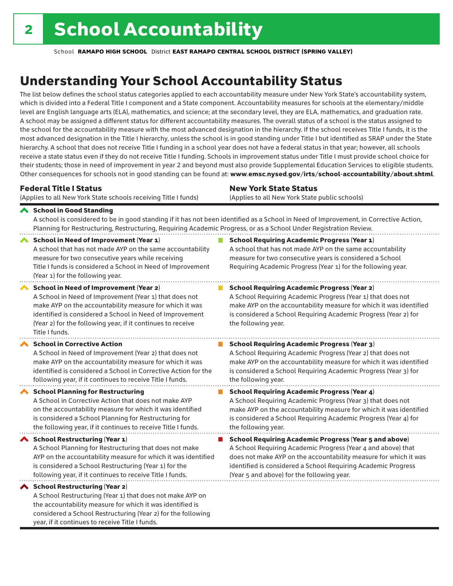considered a School Restructuring (Year 2) for the following

year, if it continues to receive Title I funds.

School **RAMAPO HIGH SCHOOL** District **EAST RAMAPO CENTRAL SCHOOL DISTRICT (SPRING VALLEY)**

# Understanding Your School Accountability Status

The list below defines the school status categories applied to each accountability measure under New York State's accountability system, which is divided into a Federal Title I component and a State component. Accountability measures for schools at the elementary/middle level are English language arts (ELA), mathematics, and science; at the secondary level, they are ELA, mathematics, and graduation rate. A school may be assigned a different status for different accountability measures. The overall status of a school is the status assigned to the school for the accountability measure with the most advanced designation in the hierarchy. If the school receives Title I funds, it is the most advanced designation in the Title I hierarchy, unless the school is in good standing under Title I but identified as SRAP under the State hierarchy. A school that does not receive Title I funding in a school year does not have a federal status in that year; however, all schools receive a state status even if they do not receive Title I funding. Schools in improvement status under Title I must provide school choice for their students; those in need of improvement in year 2 and beyond must also provide Supplemental Education Services to eligible students. Other consequences for schools not in good standing can be found at: www.emsc.nysed.gov/irts/school-accountability/about.shtml.

| <b>Federal Title I Status</b>                                                                                                                                                                                                                                                                                   | <b>New York State Status</b>                                                                                                                                                                                                                                                      |  |  |  |
|-----------------------------------------------------------------------------------------------------------------------------------------------------------------------------------------------------------------------------------------------------------------------------------------------------------------|-----------------------------------------------------------------------------------------------------------------------------------------------------------------------------------------------------------------------------------------------------------------------------------|--|--|--|
| (Applies to all New York State schools receiving Title I funds)                                                                                                                                                                                                                                                 | (Applies to all New York State public schools)                                                                                                                                                                                                                                    |  |  |  |
| School in Good Standing<br>Planning for Restructuring, Restructuring, Requiring Academic Progress, or as a School Under Registration Review.                                                                                                                                                                    | A school is considered to be in good standing if it has not been identified as a School in Need of Improvement, in Corrective Action,                                                                                                                                             |  |  |  |
| <b>School in Need of Improvement (Year 1)</b><br>A school that has not made AYP on the same accountability<br>measure for two consecutive years while receiving<br>Title I funds is considered a School in Need of Improvement<br>(Year 1) for the following year.                                              | <b>School Requiring Academic Progress (Year 1)</b><br>A school that has not made AYP on the same accountability<br>measure for two consecutive years is considered a School<br>Requiring Academic Progress (Year 1) for the following year.                                       |  |  |  |
| <b>School in Need of Improvement (Year 2)</b><br>A School in Need of Improvement (Year 1) that does not<br>make AYP on the accountability measure for which it was<br>identified is considered a School in Need of Improvement<br>(Year 2) for the following year, if it continues to receive<br>Title I funds. | <b>School Requiring Academic Progress (Year 2)</b><br>A School Requiring Academic Progress (Year 1) that does not<br>make AYP on the accountability measure for which it was identified<br>is considered a School Requiring Academic Progress (Year 2) for<br>the following year. |  |  |  |
| <b>School in Corrective Action</b>                                                                                                                                                                                                                                                                              | <b>School Requiring Academic Progress (Year 3)</b>                                                                                                                                                                                                                                |  |  |  |
| A School in Need of Improvement (Year 2) that does not                                                                                                                                                                                                                                                          | A School Requiring Academic Progress (Year 2) that does not                                                                                                                                                                                                                       |  |  |  |
| make AYP on the accountability measure for which it was                                                                                                                                                                                                                                                         | make AYP on the accountability measure for which it was identified                                                                                                                                                                                                                |  |  |  |
| identified is considered a School in Corrective Action for the                                                                                                                                                                                                                                                  | is considered a School Requiring Academic Progress (Year 3) for                                                                                                                                                                                                                   |  |  |  |
| following year, if it continues to receive Title I funds.                                                                                                                                                                                                                                                       | the following year.                                                                                                                                                                                                                                                               |  |  |  |
| <b>School Planning for Restructuring</b>                                                                                                                                                                                                                                                                        | <b>School Requiring Academic Progress (Year 4)</b>                                                                                                                                                                                                                                |  |  |  |
| A School in Corrective Action that does not make AYP                                                                                                                                                                                                                                                            | A School Requiring Academic Progress (Year 3) that does not                                                                                                                                                                                                                       |  |  |  |
| on the accountability measure for which it was identified                                                                                                                                                                                                                                                       | make AYP on the accountability measure for which it was identified                                                                                                                                                                                                                |  |  |  |
| is considered a School Planning for Restructuring for                                                                                                                                                                                                                                                           | is considered a School Requiring Academic Progress (Year 4) for                                                                                                                                                                                                                   |  |  |  |
| the following year, if it continues to receive Title I funds.                                                                                                                                                                                                                                                   | the following year.                                                                                                                                                                                                                                                               |  |  |  |
| <b>School Restructuring (Year 1)</b>                                                                                                                                                                                                                                                                            | <b>School Requiring Academic Progress (Year 5 and above)</b>                                                                                                                                                                                                                      |  |  |  |
| A School Planning for Restructuring that does not make                                                                                                                                                                                                                                                          | A School Requiring Academic Progress (Year 4 and above) that                                                                                                                                                                                                                      |  |  |  |
| AYP on the accountability measure for which it was identified                                                                                                                                                                                                                                                   | does not make AYP on the accountability measure for which it was                                                                                                                                                                                                                  |  |  |  |
| is considered a School Restructuring (Year 1) for the                                                                                                                                                                                                                                                           | identified is considered a School Requiring Academic Progress                                                                                                                                                                                                                     |  |  |  |
| following year, if it continues to receive Title I funds.                                                                                                                                                                                                                                                       | (Year 5 and above) for the following year.                                                                                                                                                                                                                                        |  |  |  |
| ◆ School Restructuring (Year 2)<br>A School Restructuring (Year 1) that does not make AYP on<br>the accountability measure for which it was identified is                                                                                                                                                       |                                                                                                                                                                                                                                                                                   |  |  |  |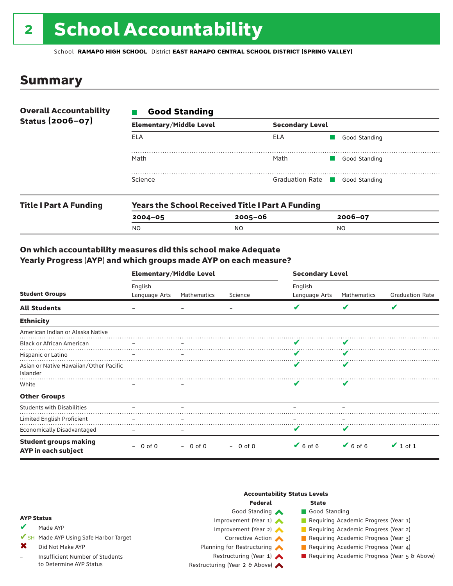# 2 School Accountability

School **RAMAPO HIGH SCHOOL** District **EAST RAMAPO CENTRAL SCHOOL DISTRICT (SPRING VALLEY)**

### Summary

| <b>Overall Accountability</b> | <b>Good Standing</b><br>$\mathcal{L}_{\mathcal{A}}$ |                                      |               |  |  |
|-------------------------------|-----------------------------------------------------|--------------------------------------|---------------|--|--|
| Status (2006-07)              | <b>Elementary/Middle Level</b>                      | <b>Secondary Level</b>               |               |  |  |
|                               | ELA                                                 | ELA                                  | Good Standing |  |  |
|                               | Math                                                | Math                                 | Good Standing |  |  |
|                               | Science                                             | Graduation Rate <b>Cood Standing</b> |               |  |  |
|                               |                                                     |                                      |               |  |  |

| <b>Title I Part A Funding</b> |             | <b>Years the School Received Title I Part A Funding</b> |             |  |  |  |
|-------------------------------|-------------|---------------------------------------------------------|-------------|--|--|--|
|                               | $2004 - 05$ | 2005-06                                                 | $2006 - 07$ |  |  |  |
|                               | NC          | NO                                                      | NO          |  |  |  |

#### On which accountability measures did this school make Adequate Yearly Progress (AYP) and which groups made AYP on each measure?

|                                                     | <b>Elementary/Middle Level</b> |                          |           | <b>Secondary Level</b>       |               |                        |  |
|-----------------------------------------------------|--------------------------------|--------------------------|-----------|------------------------------|---------------|------------------------|--|
| <b>Student Groups</b>                               | English<br>Language Arts       | Mathematics              | Science   | English<br>Language Arts     | Mathematics   | <b>Graduation Rate</b> |  |
| <b>All Students</b>                                 |                                |                          |           |                              | v             | V                      |  |
| <b>Ethnicity</b>                                    |                                |                          |           |                              |               |                        |  |
| American Indian or Alaska Native                    |                                |                          |           |                              |               |                        |  |
| <b>Black or African American</b>                    |                                |                          |           | v                            |               |                        |  |
| Hispanic or Latino                                  |                                |                          |           | ✔                            | V             |                        |  |
| Asian or Native Hawaiian/Other Pacific<br>Islander  |                                |                          |           | v                            | V             |                        |  |
| White                                               |                                | $\overline{\phantom{m}}$ |           |                              | v             |                        |  |
| <b>Other Groups</b>                                 |                                |                          |           |                              |               |                        |  |
| <b>Students with Disabilities</b>                   |                                |                          |           |                              |               |                        |  |
| Limited English Proficient                          |                                |                          |           |                              |               |                        |  |
| <b>Economically Disadvantaged</b>                   |                                |                          |           | v                            | V             |                        |  |
| <b>Student groups making</b><br>AYP in each subject | 0 of 0                         | $-0$ of 0                | $-0$ of 0 | $\blacktriangleright$ 6 of 6 | $\vee$ 6 of 6 | $\vee$ 1 of 1          |  |

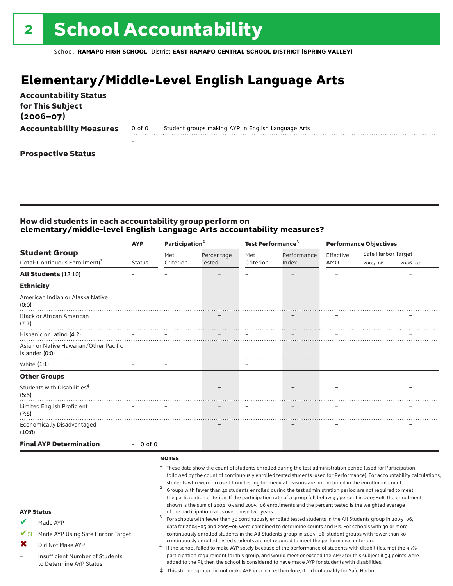# **Elementary/Middle-Level English Language Arts**

| <b>Accountability Status</b><br>for This Subject<br>$(2006 - 07)$ |        |                                                    |
|-------------------------------------------------------------------|--------|----------------------------------------------------|
| <b>Accountability Measures</b>                                    | 0 of 0 | Student groups making AYP in English Language Arts |
|                                                                   | -      |                                                    |
| <b>Prospective Status</b>                                         |        |                                                    |

#### How did students in each accountability group perform on **elementary/middle-level English Language Arts accountability measures?**

|                                                          | Participation <sup>2</sup><br><b>AYP</b> |           | Test Performance <sup>3</sup> |           |             |           | <b>Performance Objectives</b> |         |
|----------------------------------------------------------|------------------------------------------|-----------|-------------------------------|-----------|-------------|-----------|-------------------------------|---------|
| <b>Student Group</b>                                     |                                          | Met       | Percentage                    | Met       | Performance | Effective | Safe Harbor Target            |         |
| (Total: Continuous Enrollment) <sup>1</sup>              | <b>Status</b>                            | Criterion | <b>Tested</b>                 | Criterion | Index       | AMO       | $2005 - 06$                   | 2006-07 |
| <b>All Students (12:10)</b>                              |                                          |           |                               |           |             |           |                               |         |
| <b>Ethnicity</b>                                         |                                          |           |                               |           |             |           |                               |         |
| American Indian or Alaska Native<br>(0:0)                |                                          |           |                               |           |             |           |                               |         |
| <b>Black or African American</b><br>(7:7)                |                                          |           |                               |           |             |           |                               |         |
| Hispanic or Latino (4:2)                                 |                                          |           |                               |           |             |           |                               |         |
| Asian or Native Hawaiian/Other Pacific<br>Islander (0:0) |                                          |           |                               |           |             |           |                               |         |
| White $(1:1)$                                            |                                          |           |                               |           |             |           |                               |         |
| <b>Other Groups</b>                                      |                                          |           |                               |           |             |           |                               |         |
| Students with Disabilities <sup>4</sup><br>(5:5)         |                                          |           |                               |           |             |           |                               |         |
| Limited English Proficient<br>(7:5)                      |                                          |           |                               |           |             |           |                               |         |
| <b>Economically Disadvantaged</b><br>(10:8)              |                                          |           |                               |           |             |           |                               |         |
| <b>Final AYP Determination</b>                           | $-0$ of 0                                |           |                               |           |             |           |                               |         |
|                                                          |                                          | NATES     |                               |           |             |           |                               |         |

#### **NOTES**

- $1$  These data show the count of students enrolled during the test administration period (used for Participation) followed by the count of continuously enrolled tested students (used for Performance). For accountability calculations, students who were excused from testing for medical reasons are not included in the enrollment count.<br><sup>2</sup> Groups with fewer than 40 students enrolled during the test administration period are not required to meet
	- the participation criterion. If the participation rate of a group fell below 95 percent in 2005–06, the enrollment shown is the sum of 2004–05 and 2005–06 enrollments and the percent tested is the weighted average<br>of the participation rates over those two years. of the participation rates over those two years. <sup>3</sup> For schools with fewer than 30 continuously enrolled tested students in the All Students group in 2005–06,

AYP Status Made AYP ✔

✔SH Made AYP Using Safe Harbor Target

Did Not Make AYP ✖

Insufficient Number of Students to Determine AYP Status –

continuously enrolled tested students are not required to meet the performance criterion.<br>If the school failed to make AYP solely because of the performance of students with disabilities, met the 95% participation requirement for this group, and would meet or exceed the AMO for this subject if 34 points were added to the PI, then the school is considered to have made AYP for students with disabilities.

data for 2004–05 and 2005–06 were combined to determine counts and PIs. For schools with 30 or more continuously enrolled students in the All Students group in 2005–06, student groups with fewer than 30

‡ This student group did not make AYP in science; therefore, it did not qualify for Safe Harbor.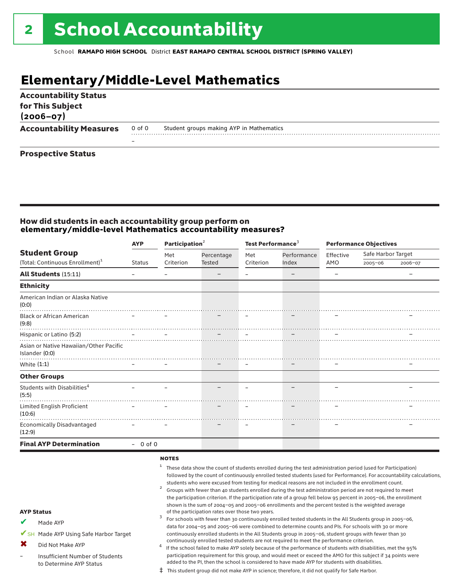# **Elementary/Middle-Level Mathematics**

| <b>Accountability Status</b><br>for This Subject<br>$(2006 - 07)$ |        |                                          |
|-------------------------------------------------------------------|--------|------------------------------------------|
| <b>Accountability Measures</b>                                    | 0 of 0 | Student groups making AYP in Mathematics |
| - -<br>$  -$                                                      |        |                                          |

#### Prospective Status

#### How did students in each accountability group perform on **elementary/middle-level Mathematics accountability measures?**

|                                                          | Participation $2$<br><b>AYP</b> |           |               |           | Test Performance <sup>3</sup> |           | <b>Performance Objectives</b> |         |  |
|----------------------------------------------------------|---------------------------------|-----------|---------------|-----------|-------------------------------|-----------|-------------------------------|---------|--|
| <b>Student Group</b>                                     |                                 | Met       | Percentage    | Met       | Performance                   | Effective | Safe Harbor Target            |         |  |
| (Total: Continuous Enrollment) <sup>1</sup>              | <b>Status</b>                   | Criterion | <b>Tested</b> | Criterion | Index                         | AMO       | $2005 - 06$                   | 2006-07 |  |
| All Students (15:11)                                     |                                 |           |               |           |                               |           |                               |         |  |
| <b>Ethnicity</b>                                         |                                 |           |               |           |                               |           |                               |         |  |
| American Indian or Alaska Native<br>(0:0)                |                                 |           |               |           |                               |           |                               |         |  |
| <b>Black or African American</b><br>(9:8)                |                                 |           |               |           |                               |           |                               |         |  |
| Hispanic or Latino (5:2)                                 |                                 |           |               |           |                               |           |                               |         |  |
| Asian or Native Hawaiian/Other Pacific<br>Islander (0:0) |                                 |           |               |           |                               |           |                               |         |  |
| White $(1:1)$                                            |                                 |           |               |           |                               |           |                               |         |  |
| <b>Other Groups</b>                                      |                                 |           |               |           |                               |           |                               |         |  |
| Students with Disabilities <sup>4</sup><br>(5:5)         |                                 |           |               |           |                               |           |                               |         |  |
| Limited English Proficient<br>(10:6)                     |                                 |           |               |           |                               |           |                               |         |  |
| <b>Economically Disadvantaged</b><br>(12:9)              |                                 |           |               |           |                               |           |                               |         |  |
| <b>Final AYP Determination</b>                           | $-0$ of 0                       |           |               |           |                               |           |                               |         |  |

#### notes

<sup>1</sup> These data show the count of students enrolled during the test administration period (used for Participation) followed by the count of continuously enrolled tested students (used for Performance). For accountability calculations, students who were excused from testing for medical reasons are not included in the enrollment count.<br><sup>2</sup> Groups with fewer than 40 students enrolled during the test administration period are not required to meet the participation criterion. If the participation rate of a group fell below 95 percent in 2005–06, the enrollment shown is the sum of 2004–05 and 2005–06 enrollments and the percent tested is the weighted average<br>of the participation rates over those two years. of the participation rates over those two years. <sup>3</sup> For schools with fewer than 30 continuously enrolled tested students in the All Students group in 2005–06, data for 2004–05 and 2005–06 were combined to determine counts and PIs. For schools with 30 or more continuously enrolled students in the All Students group in 2005–06, student groups with fewer than 30 continuously enrolled tested students are not required to meet the performance criterion.<br>If the school failed to make AYP solely because of the performance of students with disabilities, met the 95% participation requirement for this group, and would meet or exceed the AMO for this subject if 34 points were

#### AYP Status

- Made AYP ✔
- ✔SH Made AYP Using Safe Harbor Target
- Did Not Make AYP ✖
- Insufficient Number of Students to Determine AYP Status –
- added to the PI, then the school is considered to have made AYP for students with disabilities. ‡ This student group did not make AYP in science; therefore, it did not qualify for Safe Harbor.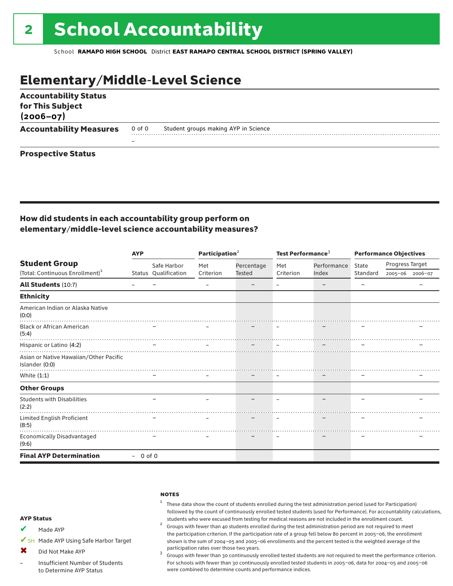# Elementary/Middle-Level Science

| <b>Accountability Status</b><br>for This Subject<br>$(2006 - 07)$ |                          |                                      |
|-------------------------------------------------------------------|--------------------------|--------------------------------------|
| <b>Accountability Measures</b>                                    | 0 of 0                   | Student groups making AYP in Science |
|                                                                   | $\overline{\phantom{0}}$ |                                      |
| <b>Prospective Status</b>                                         |                          |                                      |

#### How did students in each accountability group perform on elementary/middle-level science accountability measures?

|                                                          | <b>AYP</b> |                      | Participation <sup>2</sup> |               | Test Performance <sup>3</sup> |             | <b>Performance Objectives</b> |                 |                 |
|----------------------------------------------------------|------------|----------------------|----------------------------|---------------|-------------------------------|-------------|-------------------------------|-----------------|-----------------|
| <b>Student Group</b>                                     |            | Safe Harbor          | Met                        | Percentage    | Met                           | Performance | State                         | Progress Target |                 |
| (Total: Continuous Enrollment) <sup>1</sup>              |            | Status Qualification | Criterion                  | <b>Tested</b> | Criterion                     | Index       | Standard                      |                 | 2005-06 2006-07 |
| All Students (10:7)                                      |            |                      |                            |               |                               |             |                               |                 |                 |
| <b>Ethnicity</b>                                         |            |                      |                            |               |                               |             |                               |                 |                 |
| American Indian or Alaska Native<br>(0:0)                |            |                      |                            |               |                               |             |                               |                 |                 |
| <b>Black or African American</b><br>(5:4)                |            |                      |                            |               |                               |             |                               |                 |                 |
| Hispanic or Latino (4:2)                                 |            |                      |                            |               |                               |             |                               |                 |                 |
| Asian or Native Hawaiian/Other Pacific<br>Islander (0:0) |            |                      |                            |               |                               |             |                               |                 |                 |
| White (1:1)                                              |            |                      |                            |               |                               |             |                               |                 |                 |
| <b>Other Groups</b>                                      |            |                      |                            |               |                               |             |                               |                 |                 |
| <b>Students with Disabilities</b><br>(2:2)               |            |                      |                            |               |                               |             |                               |                 |                 |
| Limited English Proficient<br>(8:5)                      |            |                      |                            |               |                               |             |                               |                 |                 |
| Economically Disadvantaged<br>(9:6)                      |            |                      |                            |               |                               |             |                               |                 |                 |
| <b>Final AYP Determination</b>                           | $-0$ of 0  |                      |                            |               |                               |             |                               |                 |                 |

#### **NOTES**

#### $1$  These data show the count of students enrolled during the test administration period (used for Participation) followed by the count of continuously enrolled tested students (used for Performance). For accountability calculations,

students who were excused from testing for medical reasons are not included in the enrollment count. <sup>2</sup> Groups with fewer than <sup>40</sup> students enrolled during the test administration period are not required to meet the participation criterion. If the participation rate of a group fell below 80 percent in 2005–06, the enrollment shown is the sum of 2004–05 and 2005–06 enrollments and the percent tested is the weighted average of the

participation rates over those two years.<br><sup>3</sup> Groups with fewer than 30 continuously enrolled tested students are not required to meet the performance criterion. For schools with fewer than 30 continuously enrolled tested students in 2005–06, data for 2004–05 and 2005–06 were combined to determine counts and performance indices.

#### AYP Status

- Made AYP ✔
- ✔SH Made AYP Using Safe Harbor Target
- Did Not Make AYP  $\mathbf x$
- Insufficient Number of Students to Determine AYP Status –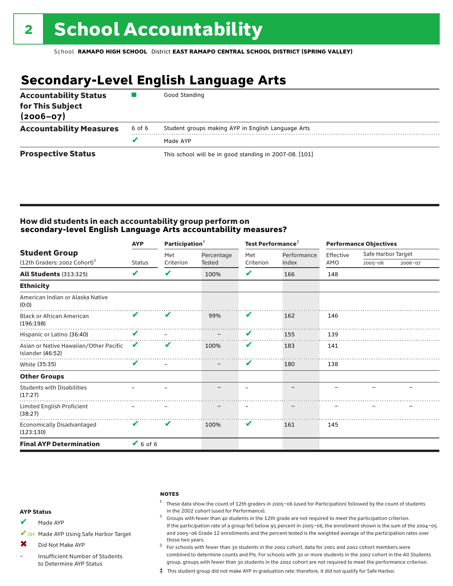# **Secondary-Level English Language Arts**

| <b>Accountability Status</b><br>for This Subject<br>$(2006 - 07)$ |        | Good Standing                                          |
|-------------------------------------------------------------------|--------|--------------------------------------------------------|
| <b>Accountability Measures</b>                                    | 6 of 6 | Student groups making AYP in English Language Arts     |
|                                                                   |        | Made AYP                                               |
| <b>Prospective Status</b>                                         |        | This school will be in good standing in 2007-08. [101] |

#### How did students in each accountability group perform on **secondary-level English Language Arts accountability measures?**

|                                                                  | <b>AYP</b>    | Participation <sup>2</sup> |                             | Test Performance <sup>3</sup> |                      | <b>Performance Objectives</b> |                                   |         |
|------------------------------------------------------------------|---------------|----------------------------|-----------------------------|-------------------------------|----------------------|-------------------------------|-----------------------------------|---------|
| <b>Student Group</b><br>(12th Graders: 2002 Cohort) <sup>1</sup> | <b>Status</b> | Met<br>Criterion           | Percentage<br><b>Tested</b> | Met<br>Criterion              | Performance<br>Index | Effective<br>AMO              | Safe Harbor Target<br>$2005 - 06$ | 2006-07 |
|                                                                  |               |                            |                             |                               |                      |                               |                                   |         |
| <b>All Students (313:325)</b>                                    | V             | V                          | 100%                        | V                             | 166                  | 148                           |                                   |         |
| <b>Ethnicity</b>                                                 |               |                            |                             |                               |                      |                               |                                   |         |
| American Indian or Alaska Native<br>(0:0)                        |               |                            |                             |                               |                      |                               |                                   |         |
| <b>Black or African American</b><br>(196:198)                    | V             | V                          | 99%                         | V                             | 162                  | 146                           |                                   |         |
| Hispanic or Latino (36:40)                                       | V             |                            |                             | $\mathbf{v}$                  | 155                  | 139                           |                                   |         |
| Asian or Native Hawaiian/Other Pacific<br>Islander (46:52)       | V             | v                          | 100%                        | V                             | 183                  | 141                           |                                   |         |
| White (35:35)                                                    | V             |                            |                             | V                             | 180                  | 138                           |                                   |         |
| <b>Other Groups</b>                                              |               |                            |                             |                               |                      |                               |                                   |         |
| <b>Students with Disabilities</b><br>(17:27)                     |               |                            |                             | $\qquad \qquad$               |                      |                               |                                   |         |
| Limited English Proficient<br>(38:27)                            |               |                            |                             |                               |                      |                               |                                   |         |
| <b>Economically Disadvantaged</b><br>(123:130)                   | V             | V                          | 100%                        | V                             | 161                  | 145                           |                                   |         |
| <b>Final AYP Determination</b>                                   | $6$ of 6      |                            |                             |                               |                      |                               |                                   |         |

#### **NOTES**

 $1$  These data show the count of 12th graders in 2005-06 (used for Participation) followed by the count of students in the 2002 cohort (used for Performance).<br><sup>2</sup> Groups with fewer than 40 students in the 12th grade are not required to meet the participation criterion.

#### AYP Status

Made AYP ✔

✔SH Made AYP Using Safe Harbor Target

Did Not Make AYP ✖

Insufficient Number of Students to Determine AYP Status –

those two years.  $3$  For schools with fewer than 30 students in the 2002 cohort, data for 2001 and 2002 cohort members were combined to determine counts and PIs. For schools with 30 or more students in the 2002 cohort in the All Students group, groups with fewer than 30 students in the 2002 cohort are not required to meet the performance criterion.

If the participation rate of a group fell below 95 percent in 2005–06, the enrollment shown is the sum of the 2004–05 and 2005–06 Grade 12 enrollments and the percent tested is the weighted average of the participation rates over

‡ This student group did not make AYP in graduation rate; therefore, it did not qualify for Safe Harbor.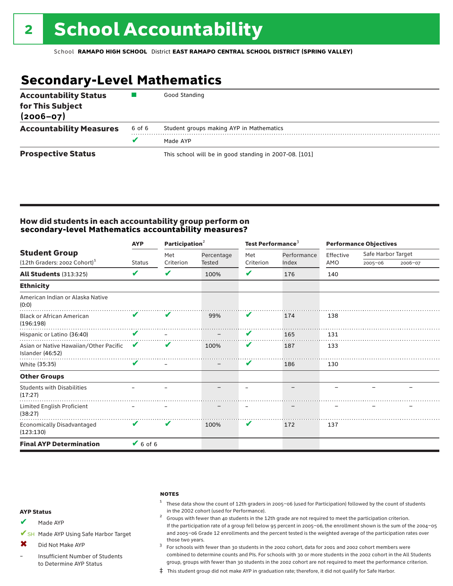# **Secondary-Level Mathematics**

| <b>Accountability Status</b><br>for This Subject<br>$(2006 - 07)$ |        | Good Standing                                          |
|-------------------------------------------------------------------|--------|--------------------------------------------------------|
| <b>Accountability Measures</b>                                    | 6 of 6 | Student groups making AYP in Mathematics               |
|                                                                   |        | Made AYP                                               |
| <b>Prospective Status</b>                                         |        | This school will be in good standing in 2007-08. [101] |

#### How did students in each accountability group perform on **secondary-level Mathematics accountability measures?**

|                                                                  | <b>AYP</b>    | Participation $2$ |                      | Test Performance <sup>3</sup> |                      | <b>Performance Objectives</b> |                                   |         |
|------------------------------------------------------------------|---------------|-------------------|----------------------|-------------------------------|----------------------|-------------------------------|-----------------------------------|---------|
| <b>Student Group</b><br>(12th Graders: 2002 Cohort) <sup>1</sup> | <b>Status</b> | Met<br>Criterion  | Percentage<br>Tested | Met<br>Criterion              | Performance<br>Index | Effective<br>AMO              | Safe Harbor Target<br>$2005 - 06$ | 2006-07 |
| <b>All Students (313:325)</b>                                    | V             | V                 | 100%                 | V                             | 176                  | 140                           |                                   |         |
| <b>Ethnicity</b>                                                 |               |                   |                      |                               |                      |                               |                                   |         |
| American Indian or Alaska Native<br>(0:0)                        |               |                   |                      |                               |                      |                               |                                   |         |
| <b>Black or African American</b><br>(196:198)                    | V             | V                 | 99%                  | V                             | 174                  | 138                           |                                   |         |
| Hispanic or Latino (36:40)                                       | V             |                   |                      | $\mathbf{v}$                  | 165                  | 131                           |                                   |         |
| Asian or Native Hawaiian/Other Pacific<br>Islander (46:52)       | V             | V                 | 100%                 | V                             | 187                  | 133                           |                                   |         |
| White (35:35)                                                    | V             |                   |                      | V                             | 186                  | 130                           |                                   |         |
| <b>Other Groups</b>                                              |               |                   |                      |                               |                      |                               |                                   |         |
| <b>Students with Disabilities</b><br>(17:27)                     |               |                   |                      |                               |                      |                               |                                   |         |
| Limited English Proficient<br>(38:27)                            |               |                   |                      |                               |                      |                               |                                   |         |
| Economically Disadvantaged<br>(123:130)                          | V             | V                 | 100%                 | V                             | 172                  | 137                           |                                   |         |
| <b>Final AYP Determination</b>                                   | $V$ 6 of 6    |                   |                      |                               |                      |                               |                                   |         |

#### **NOTES**

 $1$  These data show the count of 12th graders in 2005-06 (used for Participation) followed by the count of students in the 2002 cohort (used for Performance).<br><sup>2</sup> Groups with fewer than 40 students in the 12th grade are not required to meet the participation criterion.

#### AYP Status

Made AYP ✔

✔SH Made AYP Using Safe Harbor Target

- Did Not Make AYP  $\mathbf x$
- Insufficient Number of Students to Determine AYP Status –

those two years.  $3$  For schools with fewer than 30 students in the 2002 cohort, data for 2001 and 2002 cohort members were combined to determine counts and PIs. For schools with 30 or more students in the 2002 cohort in the All Students group, groups with fewer than 30 students in the 2002 cohort are not required to meet the performance criterion.

If the participation rate of a group fell below 95 percent in 2005–06, the enrollment shown is the sum of the 2004–05 and 2005–06 Grade 12 enrollments and the percent tested is the weighted average of the participation rates over

‡ This student group did not make AYP in graduation rate; therefore, it did not qualify for Safe Harbor.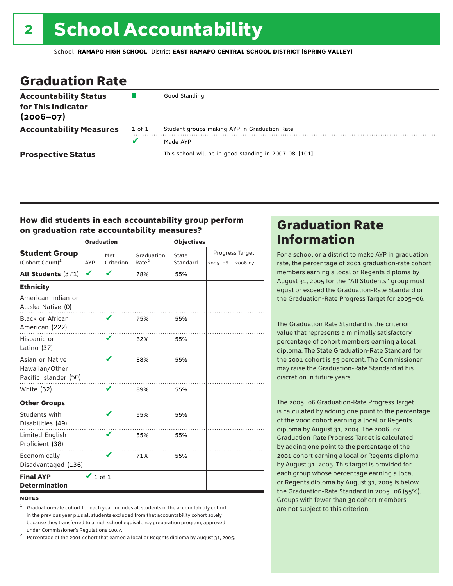# Graduation Rate

| <b>Accountability Status</b><br>for This Indicator<br>$(2006 - 07)$ |        | Good Standing                                          |
|---------------------------------------------------------------------|--------|--------------------------------------------------------|
| <b>Accountability Measures</b>                                      | 1 of 1 | Student groups making AYP in Graduation Rate           |
|                                                                     | v      | Made AYP                                               |
| <b>Prospective Status</b>                                           |        | This school will be in good standing in 2007-08. [101] |

#### How did students in each accountability group perform on graduation rate accountability measures?

|                                                            | <b>Graduation</b> |           |                   | <b>Objectives</b> |             |                 |  |
|------------------------------------------------------------|-------------------|-----------|-------------------|-------------------|-------------|-----------------|--|
| <b>Student Group</b>                                       |                   | Met       | Graduation        | State             |             | Progress Target |  |
| (Cohort Count) <sup>1</sup>                                | AYP               | Criterion | Rate <sup>2</sup> | Standard          | $2005 - 06$ | 2006-07         |  |
| All Students (371)                                         | V                 |           | 78%               | 55%               |             |                 |  |
| <b>Ethnicity</b>                                           |                   |           |                   |                   |             |                 |  |
| American Indian or<br>Alaska Native (0)                    |                   |           |                   |                   |             |                 |  |
| <b>Black or African</b><br>American (222)                  |                   | V         | 75%               | 55%               |             |                 |  |
| Hispanic or<br>Latino (37)                                 |                   | V         | 62%               | 55%               |             |                 |  |
| Asian or Native<br>Hawaiian/Other<br>Pacific Islander (50) |                   | V         | 88%               | 55%               |             |                 |  |
| White $(62)$                                               |                   | V         | 89%               | 55%               |             |                 |  |
| <b>Other Groups</b>                                        |                   |           |                   |                   |             |                 |  |
| Students with<br>Disabilities (49)                         |                   | v         | 55%               | 55%               |             |                 |  |
| Limited English<br>Proficient (38)                         |                   | V         | 55%               | 55%               |             |                 |  |
| Economically<br>Disadvantaged (136)                        |                   | V         | 71%               | 55%               |             |                 |  |
| <b>Final AYP</b><br><b>Determination</b>                   | $\vee$ 1 of 1     |           |                   |                   |             |                 |  |

#### **NOTES**

<sup>1</sup> Graduation-rate cohort for each year includes all students in the accountability cohort in the previous year plus all students excluded from that accountability cohort solely because they transferred to a high school equivalency preparation program, approved

under Commissioner's Regulations 100.7. <sup>2</sup> Percentage of the 2001 cohort that earned a local or Regents diploma by August 31, 2005.

## Graduation Rate Information

For a school or a district to make AYP in graduation rate, the percentage of 2001 graduation-rate cohort members earning a local or Regents diploma by August 31, 2005 for the "All Students" group must equal or exceed the Graduation-Rate Standard or the Graduation-Rate Progress Target for 2005–06.

The Graduation Rate Standard is the criterion value that represents a minimally satisfactory percentage of cohort members earning a local diploma. The State Graduation-Rate Standard for the 2001 cohort is 55 percent. The Commissioner may raise the Graduation-Rate Standard at his discretion in future years.

The 2005–06 Graduation-Rate Progress Target is calculated by adding one point to the percentage of the 2000 cohort earning a local or Regents diploma by August 31, 2004. The 2006–07 Graduation-Rate Progress Target is calculated by adding one point to the percentage of the 2001 cohort earning a local or Regents diploma by August 31, 2005. This target is provided for each group whose percentage earning a local or Regents diploma by August 31, 2005 is below the Graduation-Rate Standard in 2005–06 (55%). Groups with fewer than 30 cohort members are not subject to this criterion.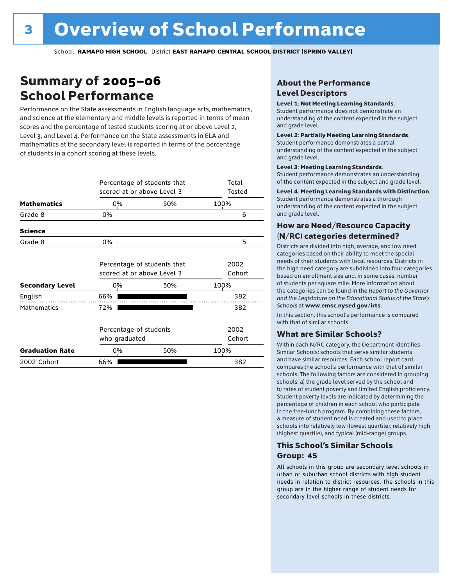# Summary of 2005–06 School Performance

Performance on the State assessments in English language arts, mathematics, and science at the elementary and middle levels is reported in terms of mean scores and the percentage of tested students scoring at or above Level 2, Level 3, and Level 4. Performance on the State assessments in ELA and mathematics at the secondary level is reported in terms of the percentage of students in a cohort scoring at these levels.

|                        | Percentage of students that<br>scored at or above Level 3 | Total<br>Tested |                |   |
|------------------------|-----------------------------------------------------------|-----------------|----------------|---|
| <b>Mathematics</b>     | 0%                                                        | 50%             | 100%           |   |
| Grade 8                | 0%                                                        |                 |                | 6 |
| <b>Science</b>         |                                                           |                 |                |   |
| Grade 8                | $0\%$                                                     |                 |                | 5 |
|                        | Percentage of students that<br>scored at or above Level 3 | 2002            |                |   |
|                        |                                                           |                 | Cohort         |   |
| <b>Secondary Level</b> | 0%                                                        | 50%             | 100%           |   |
| English                | 66%                                                       |                 | 382            |   |
| <b>Mathematics</b>     | 72%                                                       |                 | 382            |   |
|                        | Percentage of students<br>who graduated                   |                 | 2002<br>Cohort |   |
| <b>Graduation Rate</b> | 0%                                                        | 50%             | 100%           |   |
| 2002 Cohort            | 66%                                                       |                 | 382            |   |

#### About the Performance Level Descriptors

#### Level 1: Not Meeting Learning Standards.

Student performance does not demonstrate an understanding of the content expected in the subject and grade level.

#### Level 2: Partially Meeting Learning Standards.

Student performance demonstrates a partial understanding of the content expected in the subject and grade level.

#### Level 3: Meeting Learning Standards.

Student performance demonstrates an understanding of the content expected in the subject and grade level.

#### Level 4: Meeting Learning Standards with Distinction.

Student performance demonstrates a thorough understanding of the content expected in the subject and grade level.

#### How are Need/Resource Capacity (N/RC) categories determined?

Districts are divided into high, average, and low need categories based on their ability to meet the special needs of their students with local resources. Districts in the high need category are subdivided into four categories based on enrollment size and, in some cases, number of students per square mile. More information about the categories can be found in the *Report to the Governor and the Legislature on the Educational Status of the State's Schools* at www.emsc.nysed.gov/irts.

In this section, this school's performance is compared with that of similar schools.

#### What are Similar Schools?

Within each N/RC category, the Department identifies Similar Schools: schools that serve similar students and have similar resources. Each school report card compares the school's performance with that of similar schools. The following factors are considered in grouping schools: a) the grade level served by the school and b) rates of student poverty and limited English proficiency. Student poverty levels are indicated by determining the percentage of children in each school who participate in the free-lunch program. By combining these factors, a measure of student need is created and used to place schools into relatively low (lowest quartile), relatively high (highest quartile), and typical (mid-range) groups.

#### This School's Similar Schools Group: **45**

All schools in this group are secondary level schools in urban or suburban school districts with high student needs in relation to district resources. The schools in this group are in the higher range of student needs for secondary level schools in these districts.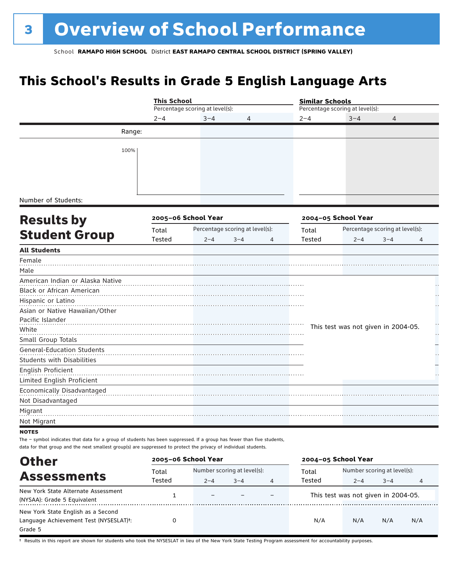# **This School's Results in Grade 5 English Language Arts**

|                                                                                                                        | <b>This School</b>      |                                 |                                 |   | <b>Similar Schools</b>          |                                     |                                 |    |  |  |
|------------------------------------------------------------------------------------------------------------------------|-------------------------|---------------------------------|---------------------------------|---|---------------------------------|-------------------------------------|---------------------------------|----|--|--|
|                                                                                                                        |                         | Percentage scoring at level(s): |                                 |   | Percentage scoring at level(s): |                                     |                                 |    |  |  |
|                                                                                                                        | $2 - 4$                 | $3 - 4$                         | 4                               |   | $2 - 4$                         | $3 - 4$                             | 4                               |    |  |  |
| Range:                                                                                                                 |                         |                                 |                                 |   |                                 |                                     |                                 |    |  |  |
|                                                                                                                        |                         |                                 |                                 |   |                                 |                                     |                                 |    |  |  |
| 100%                                                                                                                   |                         |                                 |                                 |   |                                 |                                     |                                 |    |  |  |
|                                                                                                                        |                         |                                 |                                 |   |                                 |                                     |                                 |    |  |  |
|                                                                                                                        |                         |                                 |                                 |   |                                 |                                     |                                 |    |  |  |
|                                                                                                                        |                         |                                 |                                 |   |                                 |                                     |                                 |    |  |  |
| Number of Students:                                                                                                    |                         |                                 |                                 |   |                                 |                                     |                                 |    |  |  |
| <b>Results by</b>                                                                                                      |                         | 2005-06 School Year             |                                 |   |                                 | 2004-05 School Year                 |                                 |    |  |  |
| <b>Student Group</b>                                                                                                   | Total                   |                                 | Percentage scoring at level(s): |   | Total                           |                                     | Percentage scoring at level(s): |    |  |  |
|                                                                                                                        | Tested                  | $2 - 4$                         | $3 - 4$                         | 4 | Tested                          | $2 - 4$                             | $3 - 4$                         | 4  |  |  |
| <b>All Students</b>                                                                                                    |                         |                                 |                                 |   |                                 |                                     |                                 |    |  |  |
| Female                                                                                                                 |                         |                                 |                                 |   |                                 |                                     |                                 |    |  |  |
| Male                                                                                                                   |                         |                                 |                                 |   |                                 |                                     |                                 |    |  |  |
| American Indian or Alaska Native                                                                                       |                         |                                 |                                 |   |                                 |                                     |                                 |    |  |  |
| Black or African American                                                                                              |                         |                                 |                                 |   |                                 |                                     |                                 |    |  |  |
| Hispanic or Latino                                                                                                     |                         |                                 |                                 |   |                                 |                                     |                                 |    |  |  |
| Asian or Native Hawaiian/Other                                                                                         |                         |                                 |                                 |   |                                 |                                     |                                 |    |  |  |
| Pacific Islander                                                                                                       |                         |                                 |                                 |   |                                 |                                     |                                 |    |  |  |
| White                                                                                                                  |                         |                                 |                                 |   |                                 | This test was not given in 2004-05. |                                 | ., |  |  |
| Small Group Totals                                                                                                     |                         |                                 |                                 |   |                                 |                                     |                                 |    |  |  |
| <b>General-Education Students</b>                                                                                      |                         |                                 |                                 |   |                                 |                                     |                                 |    |  |  |
| Students with Disabilities                                                                                             |                         |                                 |                                 |   |                                 |                                     |                                 |    |  |  |
| English Proficient                                                                                                     |                         |                                 |                                 |   |                                 |                                     |                                 |    |  |  |
| Limited English Proficient                                                                                             |                         |                                 |                                 |   |                                 |                                     |                                 |    |  |  |
| Economically Disadvantaged                                                                                             |                         |                                 |                                 |   |                                 |                                     |                                 |    |  |  |
| Not Disadvantaged                                                                                                      |                         |                                 |                                 |   |                                 |                                     |                                 |    |  |  |
| Migrant                                                                                                                |                         |                                 |                                 |   |                                 |                                     |                                 |    |  |  |
| Not Migrant                                                                                                            |                         |                                 |                                 |   |                                 |                                     |                                 |    |  |  |
| <b>NOTES</b>                                                                                                           |                         |                                 |                                 |   |                                 |                                     |                                 |    |  |  |
| The - symbol indicates that data for a group of students has been suppressed. If a group has fewer than five students, |                         |                                 |                                 |   |                                 |                                     |                                 |    |  |  |
| data for that group and the next smallest group(s) are suppressed to protect the privacy of individual students.       |                         |                                 |                                 |   |                                 |                                     |                                 |    |  |  |
| <b>Other</b>                                                                                                           |                         | 2005-06 School Year             |                                 |   |                                 | 2004-05 School Year                 |                                 |    |  |  |
|                                                                                                                        | $T_{\alpha}$ + $\alpha$ | Number scoring at levells).     |                                 |   | $T_{\alpha}$ + $\alpha$         |                                     | Number scoring at levelle).     |    |  |  |

| ------                                              |        |                             |         |   |        |                                     |         |     |
|-----------------------------------------------------|--------|-----------------------------|---------|---|--------|-------------------------------------|---------|-----|
|                                                     | Total  | Number scoring at level(s): |         |   | Total  | Number scoring at level(s):         |         |     |
| <b>Assessments</b>                                  | Tested | $2 - 4$                     | $3 - 4$ | 4 | Tested | $2 - 4$                             | $3 - 4$ | 4   |
| New York State Alternate Assessment                 |        | $\overline{\phantom{0}}$    |         |   |        | This test was not given in 2004-05. |         |     |
| (NYSAA): Grade 5 Equivalent                         |        |                             |         |   |        |                                     |         |     |
| New York State English as a Second                  |        |                             |         |   |        |                                     |         |     |
| Language Achievement Test (NYSESLAT) <sup>+</sup> : |        |                             |         |   | N/A    | N/A                                 | N/A     | N/A |
| Grade 5                                             |        |                             |         |   |        |                                     |         |     |

† Results in this report are shown for students who took the NYSESLAT in lieu of the New York State Testing Program assessment for accountability purposes.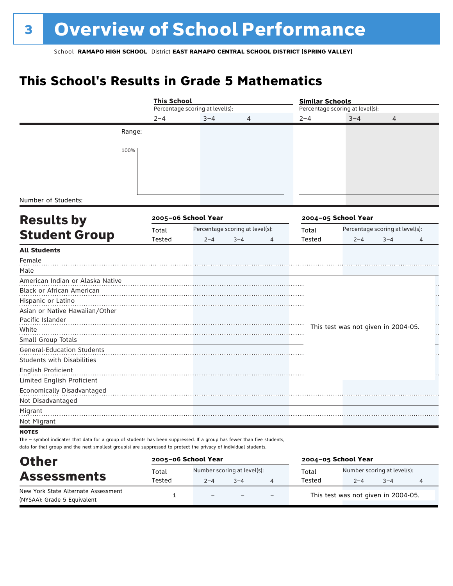# **This School's Results in Grade 5 Mathematics**

|                                                                                                                                                                                                                                                            | <b>This School</b> |                                 |                                 | <b>Similar Schools</b> |                                     |                                 |               |
|------------------------------------------------------------------------------------------------------------------------------------------------------------------------------------------------------------------------------------------------------------|--------------------|---------------------------------|---------------------------------|------------------------|-------------------------------------|---------------------------------|---------------|
|                                                                                                                                                                                                                                                            |                    | Percentage scoring at level(s): |                                 |                        | Percentage scoring at level(s):     |                                 |               |
|                                                                                                                                                                                                                                                            | $2 - 4$            | $3 - 4$                         | 4                               | $2 - 4$                | $3 - 4$                             | 4                               |               |
| Range:                                                                                                                                                                                                                                                     |                    |                                 |                                 |                        |                                     |                                 |               |
| 100%                                                                                                                                                                                                                                                       |                    |                                 |                                 |                        |                                     |                                 |               |
| Number of Students:                                                                                                                                                                                                                                        |                    |                                 |                                 |                        |                                     |                                 |               |
| <b>Results by</b>                                                                                                                                                                                                                                          |                    | 2005-06 School Year             |                                 |                        | 2004-05 School Year                 |                                 |               |
|                                                                                                                                                                                                                                                            | Total              |                                 | Percentage scoring at level(s): | Total                  |                                     | Percentage scoring at level(s): |               |
| <b>Student Group</b>                                                                                                                                                                                                                                       | Tested             | $2 - 4$                         | $3 - 4$<br>4                    | Tested                 | $2 - 4$                             | $3 - 4$                         | 4             |
| <b>All Students</b>                                                                                                                                                                                                                                        |                    |                                 |                                 |                        |                                     |                                 |               |
| Female<br>Male                                                                                                                                                                                                                                             |                    |                                 |                                 |                        |                                     |                                 |               |
| American Indian or Alaska Native                                                                                                                                                                                                                           |                    |                                 |                                 |                        |                                     |                                 |               |
| Black or African American<br>Hispanic or Latino                                                                                                                                                                                                            |                    |                                 |                                 |                        |                                     |                                 |               |
| Asian or Native Hawaiian/Other<br>Pacific Islander                                                                                                                                                                                                         |                    |                                 |                                 |                        |                                     |                                 |               |
| White                                                                                                                                                                                                                                                      |                    |                                 |                                 |                        | This test was not given in 2004-05. |                                 | $\frac{1}{1}$ |
| Small Group Totals                                                                                                                                                                                                                                         |                    |                                 |                                 |                        |                                     |                                 |               |
| <b>General-Education Students</b><br><b>Students with Disabilities</b>                                                                                                                                                                                     |                    |                                 |                                 |                        |                                     |                                 |               |
| English Proficient                                                                                                                                                                                                                                         |                    |                                 |                                 |                        |                                     |                                 |               |
| Limited English Proficient                                                                                                                                                                                                                                 |                    |                                 |                                 |                        |                                     |                                 |               |
| Economically Disadvantaged                                                                                                                                                                                                                                 |                    |                                 |                                 |                        |                                     |                                 |               |
| Not Disadvantaged                                                                                                                                                                                                                                          |                    |                                 |                                 |                        |                                     |                                 |               |
| Migrant                                                                                                                                                                                                                                                    |                    |                                 |                                 |                        |                                     |                                 |               |
| Not Migrant                                                                                                                                                                                                                                                |                    |                                 |                                 |                        |                                     |                                 |               |
| <b>NOTES</b><br>The - symbol indicates that data for a group of students has been suppressed. If a group has fewer than five students,<br>data for that group and the next smallest group(s) are suppressed to protect the privacy of individual students. |                    |                                 |                                 |                        |                                     |                                 |               |

| <b>Other</b>                                                       |        | 2005-06 School Year         |         |                          | 2004-05 School Year |                                     |         |   |
|--------------------------------------------------------------------|--------|-----------------------------|---------|--------------------------|---------------------|-------------------------------------|---------|---|
|                                                                    | Total  | Number scoring at level(s): |         |                          | Total               | Number scoring at level(s):         |         |   |
| <b>Assessments</b>                                                 | Tested | $2 - 4$                     | $3 - 4$ |                          | Tested              | $2 - 4$                             | $3 - 4$ | 4 |
| New York State Alternate Assessment<br>(NYSAA): Grade 5 Equivalent |        | $\qquad \qquad -$           |         | $\overline{\phantom{0}}$ |                     | This test was not given in 2004-05. |         |   |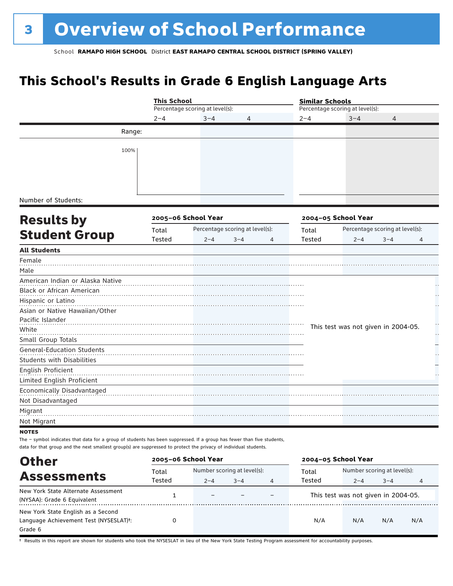# **This School's Results in Grade 6 English Language Arts**

|                                                                                                                                                                                                                                            | <b>This School</b> |                                 |         |   | <b>Similar Schools</b> |                                     |                                 |   |
|--------------------------------------------------------------------------------------------------------------------------------------------------------------------------------------------------------------------------------------------|--------------------|---------------------------------|---------|---|------------------------|-------------------------------------|---------------------------------|---|
|                                                                                                                                                                                                                                            |                    | Percentage scoring at level(s): |         |   |                        | Percentage scoring at level(s):     |                                 |   |
|                                                                                                                                                                                                                                            | $2 - 4$            | $3 - 4$                         | 4       |   | $2 - 4$                | $3 - 4$                             | 4                               |   |
|                                                                                                                                                                                                                                            | Range:             |                                 |         |   |                        |                                     |                                 |   |
|                                                                                                                                                                                                                                            | 100%               |                                 |         |   |                        |                                     |                                 |   |
|                                                                                                                                                                                                                                            |                    |                                 |         |   |                        |                                     |                                 |   |
|                                                                                                                                                                                                                                            |                    |                                 |         |   |                        |                                     |                                 |   |
| Number of Students:                                                                                                                                                                                                                        |                    |                                 |         |   |                        |                                     |                                 |   |
| <b>Results by</b>                                                                                                                                                                                                                          |                    | 2005-06 School Year             |         |   |                        | 2004-05 School Year                 |                                 |   |
|                                                                                                                                                                                                                                            | Total              | Percentage scoring at level(s): |         |   | Total                  |                                     | Percentage scoring at level(s): |   |
| <b>Student Group</b>                                                                                                                                                                                                                       | Tested             | $2 - 4$                         | $3 - 4$ | 4 | Tested                 | $2 - 4$                             | $3 - 4$                         | 4 |
| <b>All Students</b>                                                                                                                                                                                                                        |                    |                                 |         |   |                        |                                     |                                 |   |
| Female<br>Male                                                                                                                                                                                                                             |                    |                                 |         |   |                        |                                     |                                 |   |
| American Indian or Alaska Native                                                                                                                                                                                                           |                    |                                 |         |   |                        |                                     |                                 |   |
| Black or African American                                                                                                                                                                                                                  |                    |                                 |         |   |                        |                                     |                                 |   |
| Hispanic or Latino                                                                                                                                                                                                                         |                    |                                 |         |   |                        |                                     |                                 |   |
| Asian or Native Hawaiian/Other                                                                                                                                                                                                             |                    |                                 |         |   |                        |                                     |                                 |   |
| Pacific Islander                                                                                                                                                                                                                           |                    |                                 |         |   |                        |                                     |                                 |   |
| White                                                                                                                                                                                                                                      |                    |                                 |         |   |                        | This test was not given in 2004-05. |                                 |   |
| Small Group Totals                                                                                                                                                                                                                         |                    |                                 |         |   |                        |                                     |                                 | Н |
| <b>General-Education Students</b>                                                                                                                                                                                                          |                    |                                 |         |   |                        |                                     |                                 |   |
| <b>Students with Disabilities</b>                                                                                                                                                                                                          |                    |                                 |         |   |                        |                                     |                                 |   |
| English Proficient                                                                                                                                                                                                                         |                    |                                 |         |   |                        |                                     |                                 |   |
| Limited English Proficient<br>Economically Disadvantaged                                                                                                                                                                                   |                    |                                 |         |   |                        |                                     |                                 |   |
| Not Disadvantaged                                                                                                                                                                                                                          |                    |                                 |         |   |                        |                                     |                                 |   |
| Migrant<br>Not Migrant                                                                                                                                                                                                                     |                    |                                 |         |   |                        |                                     |                                 |   |
| <b>NOTES</b>                                                                                                                                                                                                                               |                    |                                 |         |   |                        |                                     |                                 |   |
| The - symbol indicates that data for a group of students has been suppressed. If a group has fewer than five students,<br>data for that group and the next smallest group(s) are suppressed to protect the privacy of individual students. |                    |                                 |         |   |                        |                                     |                                 |   |
| <b>Other</b>                                                                                                                                                                                                                               |                    | 2005-06 School Year             |         |   |                        | 2004-05 School Year                 |                                 |   |
|                                                                                                                                                                                                                                            | Total              | Number scoring at level(s):     |         |   | Total                  |                                     | Number scoring at level(s):     |   |
| <b>Assessments</b>                                                                                                                                                                                                                         | Tested             | $2 - 4$                         | $3 - 4$ |   | Tested                 | $2 - 4$                             | $3 - 4$                         | 4 |

| лоэсээннэгэ                                                                                          | ested | 2–4 | $3 - 4$ | ested                               | 2−4 | $-3-4$ |     |
|------------------------------------------------------------------------------------------------------|-------|-----|---------|-------------------------------------|-----|--------|-----|
| New York State Alternate Assessment<br>(NYSAA): Grade 6 Equivalent                                   |       |     |         | This test was not given in 2004-05. |     |        |     |
| New York State English as a Second<br>Language Achievement Test (NYSESLAT) <sup>+</sup> :<br>Grade 6 |       |     |         | N/A                                 | N/A | N/A    | N/A |

† Results in this report are shown for students who took the NYSESLAT in lieu of the New York State Testing Program assessment for accountability purposes.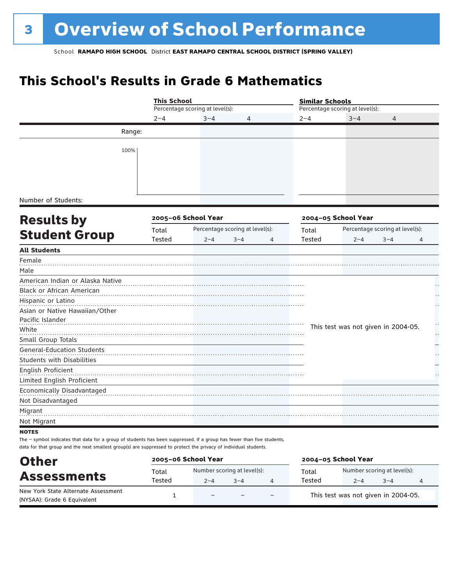# **This School's Results in Grade 6 Mathematics**

|                                                                                                                        | <b>This School</b> |                                 |                                 |         | <b>Similar Schools</b>              |         |                                 |    |
|------------------------------------------------------------------------------------------------------------------------|--------------------|---------------------------------|---------------------------------|---------|-------------------------------------|---------|---------------------------------|----|
|                                                                                                                        |                    | Percentage scoring at level(s): |                                 |         | Percentage scoring at level(s):     |         |                                 |    |
|                                                                                                                        | $2 - 4$            | $3 - 4$                         | 4                               | $2 - 4$ |                                     | $3 - 4$ | 4                               |    |
| Range:                                                                                                                 |                    |                                 |                                 |         |                                     |         |                                 |    |
| 100%                                                                                                                   |                    |                                 |                                 |         |                                     |         |                                 |    |
|                                                                                                                        |                    |                                 |                                 |         |                                     |         |                                 |    |
|                                                                                                                        |                    |                                 |                                 |         |                                     |         |                                 |    |
| Number of Students:                                                                                                    |                    |                                 |                                 |         |                                     |         |                                 |    |
|                                                                                                                        |                    | 2005-06 School Year             |                                 |         | 2004-05 School Year                 |         |                                 |    |
| <b>Results by</b>                                                                                                      | Total              |                                 | Percentage scoring at level(s): | Total   |                                     |         | Percentage scoring at level(s): |    |
| <b>Student Group</b>                                                                                                   | Tested             | $2 - 4$                         | $3 - 4$<br>4                    | Tested  |                                     | $2 - 4$ | $3 - 4$                         | 4  |
| <b>All Students</b>                                                                                                    |                    |                                 |                                 |         |                                     |         |                                 |    |
| Female                                                                                                                 |                    |                                 |                                 |         |                                     |         |                                 |    |
| Male                                                                                                                   |                    |                                 |                                 |         |                                     |         |                                 |    |
| American Indian or Alaska Native                                                                                       |                    |                                 |                                 |         |                                     |         |                                 |    |
| Black or African American                                                                                              |                    |                                 |                                 |         |                                     |         |                                 |    |
| Hispanic or Latino                                                                                                     |                    |                                 |                                 |         |                                     |         |                                 |    |
| Asian or Native Hawaiian/Other                                                                                         |                    |                                 |                                 |         |                                     |         |                                 |    |
| Pacific Islander                                                                                                       |                    |                                 |                                 |         |                                     |         |                                 | н, |
| White                                                                                                                  |                    |                                 |                                 |         | This test was not given in 2004-05. |         |                                 | ļ. |
| Small Group Totals                                                                                                     |                    |                                 |                                 |         |                                     |         |                                 |    |
| <b>General-Education Students</b>                                                                                      |                    |                                 |                                 |         |                                     |         |                                 |    |
| <b>Students with Disabilities</b>                                                                                      |                    |                                 |                                 |         |                                     |         |                                 |    |
| English Proficient                                                                                                     |                    |                                 |                                 |         |                                     |         |                                 |    |
| Limited English Proficient                                                                                             |                    |                                 |                                 |         |                                     |         |                                 |    |
| Economically Disadvantaged                                                                                             |                    |                                 |                                 |         |                                     |         |                                 |    |
| Not Disadvantaged                                                                                                      |                    |                                 |                                 |         |                                     |         |                                 |    |
| Migrant                                                                                                                |                    |                                 |                                 |         |                                     |         |                                 |    |
| Not Migrant                                                                                                            |                    |                                 |                                 |         |                                     |         |                                 |    |
| <b>NOTES</b>                                                                                                           |                    |                                 |                                 |         |                                     |         |                                 |    |
| The - symbol indicates that data for a group of students has been suppressed. If a group has fewer than five students, |                    |                                 |                                 |         |                                     |         |                                 |    |
| data for that group and the next smallest group(s) are suppressed to protect the privacy of individual students.       |                    |                                 |                                 |         |                                     |         |                                 |    |

| <b>Other</b>                                                       |        | 2005-06 School Year         |         |                          | 2004-05 School Year |                                     |         |   |
|--------------------------------------------------------------------|--------|-----------------------------|---------|--------------------------|---------------------|-------------------------------------|---------|---|
|                                                                    | Total  | Number scoring at level(s): |         |                          | Total               | Number scoring at level(s):         |         |   |
| <b>Assessments</b>                                                 | Tested | $2 - 4$                     | $3 - 4$ |                          | Tested              | $2 - 4$                             | $3 - 4$ | 4 |
| New York State Alternate Assessment<br>(NYSAA): Grade 6 Equivalent |        | $\qquad \qquad -$           |         | $\overline{\phantom{0}}$ |                     | This test was not given in 2004-05. |         |   |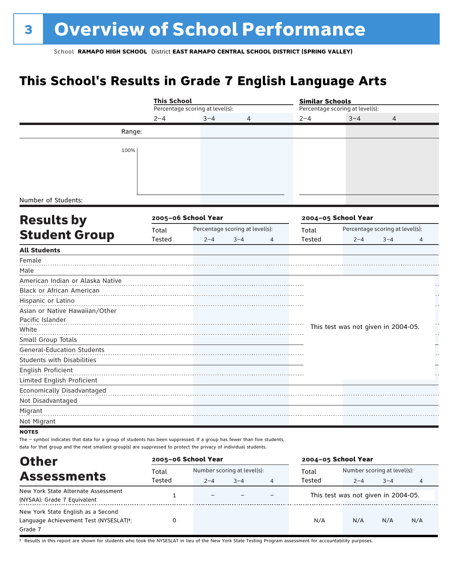# **This School's Results in Grade 7 English Language Arts**

|                                                                                                                                                                                                                                            | <b>This School</b> |                                 |         |                | <b>Similar Schools</b> |                                     |                                 |                |
|--------------------------------------------------------------------------------------------------------------------------------------------------------------------------------------------------------------------------------------------|--------------------|---------------------------------|---------|----------------|------------------------|-------------------------------------|---------------------------------|----------------|
|                                                                                                                                                                                                                                            |                    | Percentage scoring at level(s): |         |                |                        | Percentage scoring at level(s):     |                                 |                |
|                                                                                                                                                                                                                                            | $2 - 4$            | $3 - 4$                         | 4       |                | $2 - 4$                | $3 - 4$                             | 4                               |                |
| Range:                                                                                                                                                                                                                                     |                    |                                 |         |                |                        |                                     |                                 |                |
| 100%                                                                                                                                                                                                                                       |                    |                                 |         |                |                        |                                     |                                 |                |
|                                                                                                                                                                                                                                            |                    |                                 |         |                |                        |                                     |                                 |                |
|                                                                                                                                                                                                                                            |                    |                                 |         |                |                        |                                     |                                 |                |
|                                                                                                                                                                                                                                            |                    |                                 |         |                |                        |                                     |                                 |                |
| Number of Students:                                                                                                                                                                                                                        |                    |                                 |         |                |                        |                                     |                                 |                |
|                                                                                                                                                                                                                                            |                    |                                 |         |                |                        |                                     |                                 |                |
| <b>Results by</b>                                                                                                                                                                                                                          |                    | 2005-06 School Year             |         |                |                        | 2004-05 School Year                 |                                 |                |
| <b>Student Group</b>                                                                                                                                                                                                                       | Total              | Percentage scoring at level(s): |         |                | Total                  |                                     | Percentage scoring at level(s): |                |
| <b>All Students</b>                                                                                                                                                                                                                        | Tested             | $2 - 4$                         | $3 - 4$ | $\overline{4}$ | Tested                 | $2 - 4$                             | $3 - 4$                         | $\overline{4}$ |
| Female                                                                                                                                                                                                                                     |                    |                                 |         |                |                        |                                     |                                 |                |
| Male                                                                                                                                                                                                                                       |                    |                                 |         |                |                        |                                     |                                 |                |
| American Indian or Alaska Native                                                                                                                                                                                                           |                    |                                 |         |                |                        |                                     |                                 |                |
| Black or African American                                                                                                                                                                                                                  |                    |                                 |         |                |                        |                                     |                                 |                |
| Hispanic or Latino                                                                                                                                                                                                                         |                    |                                 |         |                |                        |                                     |                                 |                |
| Asian or Native Hawaiian/Other                                                                                                                                                                                                             |                    |                                 |         |                |                        |                                     |                                 |                |
| Pacific Islander                                                                                                                                                                                                                           |                    |                                 |         |                |                        |                                     |                                 | ۰.,            |
| White                                                                                                                                                                                                                                      |                    |                                 |         |                |                        | This test was not given in 2004-05. |                                 | .,             |
| Small Group Totals                                                                                                                                                                                                                         |                    |                                 |         |                |                        |                                     |                                 |                |
| <b>General-Education Students</b><br><b>Students with Disabilities</b>                                                                                                                                                                     |                    |                                 |         |                |                        |                                     |                                 |                |
| English Proficient                                                                                                                                                                                                                         |                    |                                 |         |                |                        |                                     |                                 |                |
| Limited English Proficient                                                                                                                                                                                                                 |                    |                                 |         |                |                        |                                     |                                 |                |
| Economically Disadvantaged                                                                                                                                                                                                                 |                    |                                 |         |                |                        |                                     |                                 |                |
| Not Disadvantaged                                                                                                                                                                                                                          |                    |                                 |         |                |                        |                                     |                                 |                |
| Migrant                                                                                                                                                                                                                                    |                    |                                 |         |                |                        |                                     |                                 |                |
| Not Migrant                                                                                                                                                                                                                                |                    |                                 |         |                |                        |                                     |                                 |                |
| <b>NOTES</b>                                                                                                                                                                                                                               |                    |                                 |         |                |                        |                                     |                                 |                |
| The - symbol indicates that data for a group of students has been suppressed. If a group has fewer than five students,<br>data for that group and the next smallest group(s) are suppressed to protect the privacy of individual students. |                    |                                 |         |                |                        |                                     |                                 |                |
|                                                                                                                                                                                                                                            |                    | 2005-06 School Year             |         |                |                        | 2004-05 School Year                 |                                 |                |
| <b>Other</b>                                                                                                                                                                                                                               | $T0+2$             | $N$ umber scoring at level(s).  |         |                | $T0+2$                 |                                     | $N$ umber scoring at level(s).  |                |

|                                                                                         | Total  | Number scoring at level(s): |         |  | Total  | Number scoring at level(s):         |         |     |  |
|-----------------------------------------------------------------------------------------|--------|-----------------------------|---------|--|--------|-------------------------------------|---------|-----|--|
| <b>Assessments</b>                                                                      | Tested | $2 - 4$                     | $3 - 4$ |  | Tested | $2 - 4$                             | $3 - 4$ | 4   |  |
| New York State Alternate Assessment<br>(NYSAA): Grade 7 Equivalent                      |        | $\overline{\phantom{m}}$    |         |  |        | This test was not given in 2004-05. |         |     |  |
| New York State English as a Second<br>Language Achievement Test (NYSESLAT)t:<br>Grade 7 |        |                             |         |  | N/A    | N/A                                 | N/A     | N/A |  |

† Results in this report are shown for students who took the NYSESLAT in lieu of the New York State Testing Program assessment for accountability purposes.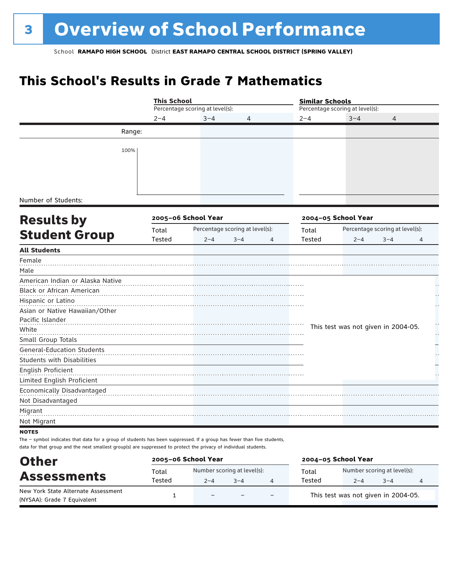# **This School's Results in Grade 7 Mathematics**

|                                                                                                                        | <b>This School</b> |                                 |                                 |         | <b>Similar Schools</b> |                                     |                                 |                      |
|------------------------------------------------------------------------------------------------------------------------|--------------------|---------------------------------|---------------------------------|---------|------------------------|-------------------------------------|---------------------------------|----------------------|
|                                                                                                                        |                    | Percentage scoring at level(s): |                                 |         |                        | Percentage scoring at level(s):     |                                 |                      |
|                                                                                                                        | $2 - 4$            | $3 - 4$                         | 4                               | $2 - 4$ |                        | $3 - 4$                             | $\overline{4}$                  |                      |
|                                                                                                                        | Range:             |                                 |                                 |         |                        |                                     |                                 |                      |
| 100%                                                                                                                   |                    |                                 |                                 |         |                        |                                     |                                 |                      |
|                                                                                                                        |                    |                                 |                                 |         |                        |                                     |                                 |                      |
|                                                                                                                        |                    |                                 |                                 |         |                        |                                     |                                 |                      |
|                                                                                                                        |                    |                                 |                                 |         |                        |                                     |                                 |                      |
|                                                                                                                        |                    |                                 |                                 |         |                        |                                     |                                 |                      |
| Number of Students:                                                                                                    |                    |                                 |                                 |         |                        |                                     |                                 |                      |
|                                                                                                                        |                    | 2005-06 School Year             |                                 |         |                        | 2004-05 School Year                 |                                 |                      |
| <b>Results by</b>                                                                                                      |                    |                                 |                                 |         |                        |                                     |                                 |                      |
| <b>Student Group</b>                                                                                                   | Total              |                                 | Percentage scoring at level(s): | Total   |                        |                                     | Percentage scoring at level(s): |                      |
| <b>All Students</b>                                                                                                    | Tested             | $2 - 4$                         | $3 - 4$<br>4                    |         | Tested                 | $2 - 4$                             | $3 - 4$                         | 4                    |
| Female                                                                                                                 |                    |                                 |                                 |         |                        |                                     |                                 |                      |
| Male                                                                                                                   |                    |                                 |                                 |         |                        |                                     |                                 |                      |
| American Indian or Alaska Native                                                                                       |                    |                                 |                                 |         |                        |                                     |                                 |                      |
| Black or African American                                                                                              |                    |                                 |                                 |         |                        |                                     |                                 |                      |
| Hispanic or Latino                                                                                                     |                    |                                 |                                 |         |                        |                                     |                                 |                      |
| Asian or Native Hawaiian/Other                                                                                         |                    |                                 |                                 |         |                        |                                     |                                 | $\ddot{\phantom{1}}$ |
| Pacific Islander                                                                                                       |                    |                                 |                                 |         |                        |                                     |                                 |                      |
| White                                                                                                                  |                    |                                 |                                 |         |                        | This test was not given in 2004-05. |                                 | $\sim$               |
| Small Group Totals                                                                                                     |                    |                                 |                                 |         |                        |                                     |                                 | L,                   |
| <b>General-Education Students</b>                                                                                      |                    |                                 |                                 |         |                        |                                     |                                 |                      |
| <b>Students with Disabilities</b>                                                                                      |                    |                                 |                                 |         |                        |                                     |                                 |                      |
| English Proficient                                                                                                     |                    |                                 |                                 |         |                        |                                     |                                 |                      |
| Limited English Proficient                                                                                             |                    |                                 |                                 |         |                        |                                     |                                 |                      |
| Economically Disadvantaged                                                                                             |                    |                                 |                                 |         |                        |                                     |                                 |                      |
| Not Disadvantaged                                                                                                      |                    |                                 |                                 |         |                        |                                     |                                 |                      |
| Migrant                                                                                                                |                    |                                 |                                 |         |                        |                                     |                                 |                      |
| Not Migrant                                                                                                            |                    |                                 |                                 |         |                        |                                     |                                 |                      |
| <b>NOTES</b>                                                                                                           |                    |                                 |                                 |         |                        |                                     |                                 |                      |
| The - symbol indicates that data for a group of students has been suppressed. If a group has fewer than five students, |                    |                                 |                                 |         |                        |                                     |                                 |                      |
| data for that group and the next smallest group(s) are suppressed to protect the privacy of individual students.       |                    |                                 |                                 |         |                        |                                     |                                 |                      |

| <b>Other</b>                                                       | 2005-06 School Year |                             |         |                          | 2004-05 School Year |                                     |         |   |
|--------------------------------------------------------------------|---------------------|-----------------------------|---------|--------------------------|---------------------|-------------------------------------|---------|---|
|                                                                    | Total               | Number scoring at level(s): |         |                          | Total               | Number scoring at level(s):         |         |   |
| <b>Assessments</b>                                                 | Tested              | $2 - 4$                     | $3 - 4$ |                          | Tested              | $2 - 4$                             | $3 - 4$ | 4 |
| New York State Alternate Assessment<br>(NYSAA): Grade 7 Equivalent |                     | $\overline{\phantom{0}}$    |         | $\overline{\phantom{0}}$ |                     | This test was not given in 2004-05. |         |   |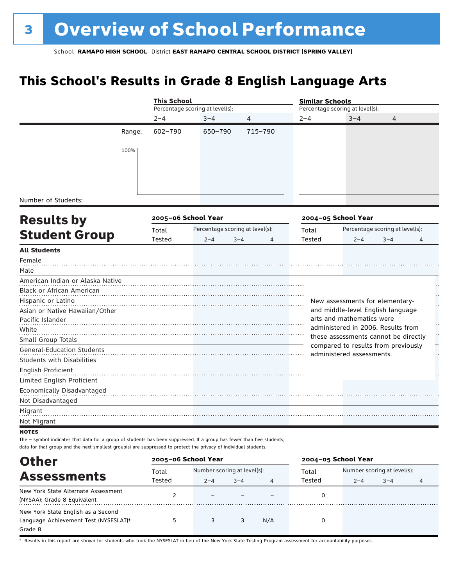# **This School's Results in Grade 8 English Language Arts**

|                                                                                                                                                                                                                                            |                       | <b>This School</b>              |                                 |         | <b>Similar Schools</b>                                           |                                 |   |  |
|--------------------------------------------------------------------------------------------------------------------------------------------------------------------------------------------------------------------------------------------|-----------------------|---------------------------------|---------------------------------|---------|------------------------------------------------------------------|---------------------------------|---|--|
|                                                                                                                                                                                                                                            |                       | Percentage scoring at level(s): |                                 |         | Percentage scoring at level(s):                                  |                                 |   |  |
|                                                                                                                                                                                                                                            | $2 - 4$               | $3 - 4$                         | 4                               | $2 - 4$ | $3 - 4$                                                          | 4                               |   |  |
|                                                                                                                                                                                                                                            | $602 - 790$<br>Range: | 650-790                         | 715-790                         |         |                                                                  |                                 |   |  |
| 100%                                                                                                                                                                                                                                       |                       |                                 |                                 |         |                                                                  |                                 |   |  |
| Number of Students:                                                                                                                                                                                                                        |                       |                                 |                                 |         |                                                                  |                                 |   |  |
| <b>Results by</b>                                                                                                                                                                                                                          |                       | 2005-06 School Year             |                                 |         | 2004-05 School Year                                              |                                 |   |  |
|                                                                                                                                                                                                                                            | Total                 |                                 | Percentage scoring at level(s): | Total   |                                                                  | Percentage scoring at level(s): |   |  |
| <b>Student Group</b>                                                                                                                                                                                                                       | Tested                | $2 - 4$                         | $3 - 4$<br>4                    | Tested  | $2 - 4$                                                          | $3 - 4$                         | 4 |  |
| <b>All Students</b>                                                                                                                                                                                                                        |                       |                                 |                                 |         |                                                                  |                                 |   |  |
| Female                                                                                                                                                                                                                                     |                       |                                 |                                 |         |                                                                  |                                 |   |  |
| Male                                                                                                                                                                                                                                       |                       |                                 |                                 |         |                                                                  |                                 |   |  |
| American Indian or Alaska Native                                                                                                                                                                                                           |                       |                                 |                                 |         |                                                                  |                                 |   |  |
| <b>Black or African American</b>                                                                                                                                                                                                           |                       |                                 |                                 |         |                                                                  |                                 |   |  |
| Hispanic or Latino                                                                                                                                                                                                                         |                       |                                 |                                 |         | New assessments for elementary-                                  |                                 |   |  |
| Asian or Native Hawaiian/Other                                                                                                                                                                                                             |                       |                                 |                                 |         | and middle-level English language                                |                                 |   |  |
| Pacific Islander                                                                                                                                                                                                                           |                       |                                 |                                 |         | arts and mathematics were                                        |                                 |   |  |
| White                                                                                                                                                                                                                                      |                       |                                 |                                 |         | administered in 2006. Results from                               |                                 |   |  |
| Small Group Totals                                                                                                                                                                                                                         |                       |                                 |                                 |         | these assessments cannot be directly                             |                                 |   |  |
| <b>General-Education Students</b><br><b>Students with Disabilities</b>                                                                                                                                                                     |                       |                                 |                                 |         | compared to results from previously<br>administered assessments. |                                 |   |  |
| English Proficient                                                                                                                                                                                                                         |                       |                                 |                                 |         |                                                                  |                                 |   |  |
| Limited English Proficient                                                                                                                                                                                                                 |                       |                                 |                                 |         |                                                                  |                                 |   |  |
| Economically Disadvantaged                                                                                                                                                                                                                 |                       |                                 |                                 |         |                                                                  |                                 |   |  |
| Not Disadvantaged                                                                                                                                                                                                                          |                       |                                 |                                 |         |                                                                  |                                 |   |  |
| Migrant                                                                                                                                                                                                                                    |                       |                                 |                                 |         |                                                                  |                                 |   |  |
| Not Migrant                                                                                                                                                                                                                                |                       |                                 |                                 |         |                                                                  |                                 |   |  |
| <b>NOTES</b>                                                                                                                                                                                                                               |                       |                                 |                                 |         |                                                                  |                                 |   |  |
| The - symbol indicates that data for a group of students has been suppressed. If a group has fewer than five students,<br>data for that group and the next smallest group(s) are suppressed to protect the privacy of individual students. |                       |                                 |                                 |         |                                                                  |                                 |   |  |

| <b>Other</b>                                        |        | 2005-06 School Year         |         |     | 2004-05 School Year |                             |         |   |
|-----------------------------------------------------|--------|-----------------------------|---------|-----|---------------------|-----------------------------|---------|---|
| <b>Assessments</b>                                  | Total  | Number scoring at level(s): |         |     | Total               | Number scoring at level(s): |         |   |
|                                                     | Tested | $2 - 4$                     | $3 - 4$ | 4   | Tested              | $2 - 4$                     | $3 - 4$ | 4 |
| New York State Alternate Assessment                 |        | -                           |         |     |                     |                             |         |   |
| (NYSAA): Grade 8 Equivalent                         |        |                             |         |     |                     |                             |         |   |
| New York State English as a Second                  |        |                             |         |     |                     |                             |         |   |
| Language Achievement Test (NYSESLAT) <sup>+</sup> : | 5      |                             |         | N/A |                     |                             |         |   |
| Grade 8                                             |        |                             |         |     |                     |                             |         |   |

† Results in this report are shown for students who took the NYSESLAT in lieu of the New York State Testing Program assessment for accountability purposes.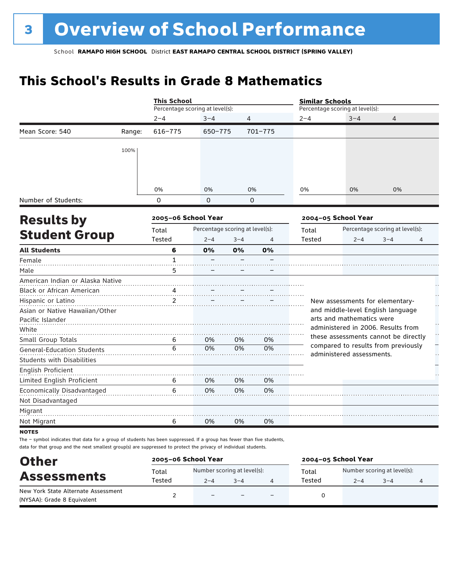# **This School's Results in Grade 8 Mathematics**

|                                   |        | <b>This School</b>  |                                 |          |         |                                 | <b>Similar Schools</b>    |                                      |                |  |
|-----------------------------------|--------|---------------------|---------------------------------|----------|---------|---------------------------------|---------------------------|--------------------------------------|----------------|--|
|                                   |        |                     | Percentage scoring at level(s): |          |         | Percentage scoring at level(s): |                           |                                      |                |  |
|                                   |        | $2 - 4$             | $3 - 4$                         | 4        |         | $2 - 4$                         | $3 - 4$                   | 4                                    |                |  |
| Mean Score: 540                   | Range: | $616 - 775$         | 650-775                         |          | 701-775 |                                 |                           |                                      |                |  |
|                                   | 100%   |                     |                                 |          |         |                                 |                           |                                      |                |  |
|                                   |        |                     |                                 |          |         |                                 |                           |                                      |                |  |
|                                   |        |                     |                                 |          |         |                                 |                           |                                      |                |  |
|                                   |        |                     |                                 |          |         |                                 |                           |                                      |                |  |
|                                   |        | 0%                  | 0%                              | 0%       |         | 0%                              | 0%                        | 0%                                   |                |  |
| Number of Students:               |        | $\Omega$            | $\Omega$                        | $\Omega$ |         |                                 |                           |                                      |                |  |
| <b>Results by</b>                 |        | 2005-06 School Year |                                 |          |         | 2004-05 School Year             |                           |                                      |                |  |
|                                   |        | Total               | Percentage scoring at level(s): |          |         | Total                           |                           | Percentage scoring at level(s):      |                |  |
| <b>Student Group</b>              |        | Tested              | $2 - 4$                         | $3 - 4$  | 4       | Tested                          | $2 - 4$                   | $3 - 4$                              | 4              |  |
| <b>All Students</b>               |        | 6                   | 0%                              | 0%       | 0%      |                                 |                           |                                      |                |  |
| Female                            |        | $\mathbf{1}$        |                                 |          |         |                                 |                           |                                      |                |  |
| Male                              |        | 5                   |                                 |          |         |                                 |                           |                                      |                |  |
| American Indian or Alaska Native  |        |                     |                                 |          |         |                                 |                           |                                      |                |  |
| Black or African American         |        |                     |                                 |          |         |                                 |                           |                                      |                |  |
| Hispanic or Latino                |        | 2                   |                                 |          |         |                                 |                           | New assessments for elementary-      |                |  |
| Asian or Native Hawaiian/Other    |        |                     |                                 |          |         |                                 |                           | and middle-level English language    |                |  |
| Pacific Islander                  |        |                     |                                 |          |         |                                 | arts and mathematics were |                                      |                |  |
| White                             |        |                     |                                 |          |         |                                 |                           | administered in 2006. Results from   | $\ddot{\cdot}$ |  |
| Small Group Totals                |        | 6                   | 0%                              | 0%       | 0%      |                                 |                           | these assessments cannot be directly |                |  |
| <b>General-Education Students</b> |        | 6                   | 0%                              | 0%       | 0%      |                                 | administered assessments. | compared to results from previously  | -<br>.,        |  |
| <b>Students with Disabilities</b> |        |                     |                                 |          |         |                                 |                           |                                      |                |  |
| <b>English Proficient</b>         |        |                     |                                 |          |         |                                 |                           |                                      |                |  |
| Limited English Proficient        |        | 6                   | 0%                              | 0%       | 0%      |                                 |                           |                                      |                |  |
| Economically Disadvantaged        |        | 6                   | 0%                              | 0%       | 0%      |                                 |                           |                                      |                |  |
| Not Disadvantaged                 |        |                     |                                 |          |         |                                 |                           |                                      |                |  |
| Migrant                           |        |                     |                                 |          |         |                                 |                           |                                      |                |  |
| Not Migrant                       |        | 6                   | 0%                              | 0%       | 0%      |                                 |                           |                                      |                |  |
| <b>NOTES</b>                      |        |                     |                                 |          |         |                                 |                           |                                      |                |  |

The – symbol indicates that data for a group of students has been suppressed. If a group has fewer than five students, data for that group and the next smallest group(s) are suppressed to protect the privacy of individual students.

| <b>Other</b><br><b>Assessments</b>                                 | 2005-06 School Year |                                                   |  | 2004-05 School Year |                 |                                        |         |  |
|--------------------------------------------------------------------|---------------------|---------------------------------------------------|--|---------------------|-----------------|----------------------------------------|---------|--|
|                                                                    | Total<br>Tested     | Number scoring at level(s):<br>$3 - 4$<br>$2 - 4$ |  |                     | Total<br>Tested | Number scoring at level(s):<br>$2 - 4$ | $3 - 4$ |  |
| New York State Alternate Assessment<br>(NYSAA): Grade 8 Equivalent |                     | $\overline{\phantom{m}}$                          |  |                     |                 |                                        |         |  |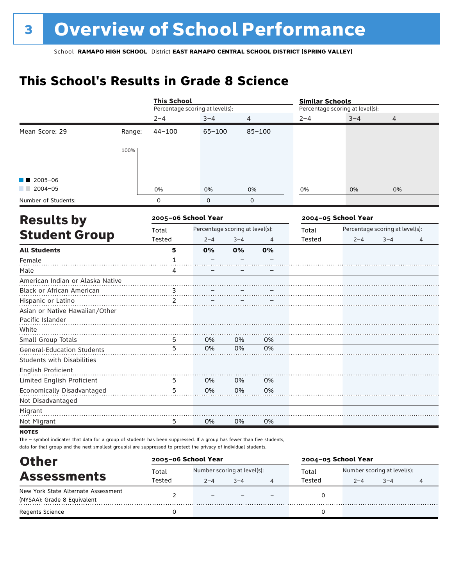# **This School's Results in Grade 8 Science**

|                                   |        | <b>This School</b>  |                                 |             |            |         |                                                                                                                                      | 4<br>0%<br>$2 - 4$<br>$3 - 4$<br>4 |  |
|-----------------------------------|--------|---------------------|---------------------------------|-------------|------------|---------|--------------------------------------------------------------------------------------------------------------------------------------|------------------------------------|--|
|                                   |        |                     | Percentage scoring at level(s): |             |            |         | <b>Similar Schools</b><br>Percentage scoring at level(s):<br>$3 - 4$<br>0%<br>2004-05 School Year<br>Percentage scoring at level(s): |                                    |  |
|                                   |        | $2 - 4$             | $3 - 4$                         | 4           |            | $2 - 4$ |                                                                                                                                      |                                    |  |
| Mean Score: 29                    | Range: | $44 - 100$          | $65 - 100$                      |             | $85 - 100$ |         |                                                                                                                                      |                                    |  |
|                                   | 100%   |                     |                                 |             |            |         |                                                                                                                                      |                                    |  |
| $2005 - 06$                       |        |                     |                                 |             |            |         |                                                                                                                                      |                                    |  |
| $2004 - 05$                       |        | 0%                  | 0%                              | 0%          |            | 0%      |                                                                                                                                      |                                    |  |
| Number of Students:               |        | 0                   | $\mathbf 0$                     | $\mathbf 0$ |            |         |                                                                                                                                      |                                    |  |
| <b>Results by</b>                 |        | 2005-06 School Year |                                 |             |            |         |                                                                                                                                      |                                    |  |
|                                   |        | Total               | Percentage scoring at level(s): |             |            | Total   |                                                                                                                                      |                                    |  |
| <b>Student Group</b>              |        | Tested              | $2 - 4$                         | $3 - 4$     | 4          | Tested  |                                                                                                                                      |                                    |  |
| <b>All Students</b>               |        | 5                   | 0%                              | 0%          | 0%         |         |                                                                                                                                      |                                    |  |
| Female                            |        | 1                   |                                 |             |            |         |                                                                                                                                      |                                    |  |
| Male                              |        | 4                   |                                 |             |            |         |                                                                                                                                      |                                    |  |
| American Indian or Alaska Native  |        |                     |                                 |             |            |         |                                                                                                                                      |                                    |  |
| Black or African American         |        | 3                   |                                 |             |            |         |                                                                                                                                      |                                    |  |
| Hispanic or Latino                |        | 2                   |                                 |             |            |         |                                                                                                                                      |                                    |  |
| Asian or Native Hawaiian/Other    |        |                     |                                 |             |            |         |                                                                                                                                      |                                    |  |
| Pacific Islander                  |        |                     |                                 |             |            |         |                                                                                                                                      |                                    |  |
| White                             |        |                     |                                 |             |            |         |                                                                                                                                      |                                    |  |
| Small Group Totals                |        | 5                   | 0%                              | 0%          | 0%         |         |                                                                                                                                      |                                    |  |
| <b>General-Education Students</b> |        | 5                   | 0%                              | 0%          | 0%         |         |                                                                                                                                      |                                    |  |
| <b>Students with Disabilities</b> |        |                     |                                 |             |            |         |                                                                                                                                      |                                    |  |
| English Proficient                |        |                     |                                 |             |            |         |                                                                                                                                      |                                    |  |
| Limited English Proficient        |        | 5                   | 0%                              | 0%          | 0%         |         |                                                                                                                                      |                                    |  |
| Economically Disadvantaged        |        | 5                   | 0%                              | 0%          | 0%         |         |                                                                                                                                      |                                    |  |
| Not Disadvantaged                 |        |                     |                                 |             |            |         |                                                                                                                                      |                                    |  |
| Migrant                           |        |                     |                                 |             |            |         |                                                                                                                                      |                                    |  |
| Not Migrant                       |        | 5                   | 0%                              | 0%          | 0%         |         |                                                                                                                                      |                                    |  |
| <b>NOTES</b>                      |        |                     |                                 |             |            |         |                                                                                                                                      |                                    |  |

The – symbol indicates that data for a group of students has been suppressed. If a group has fewer than five students, data for that group and the next smallest group(s) are suppressed to protect the privacy of individual students.

| <b>Other</b>                        | 2005-06 School Year |                             |         |  | 2004-05 School Year |                             |         |  |  |
|-------------------------------------|---------------------|-----------------------------|---------|--|---------------------|-----------------------------|---------|--|--|
| <b>Assessments</b>                  | Total               | Number scoring at level(s): |         |  | Total               | Number scoring at level(s): |         |  |  |
|                                     | Tested              | $2 - 4$                     | $3 - 4$ |  | Tested              | $2 - 4$                     | $3 - 4$ |  |  |
| New York State Alternate Assessment |                     | $\equiv$                    |         |  |                     |                             |         |  |  |
| (NYSAA): Grade 8 Equivalent         |                     |                             |         |  |                     |                             |         |  |  |
| <b>Regents Science</b>              |                     |                             |         |  |                     |                             |         |  |  |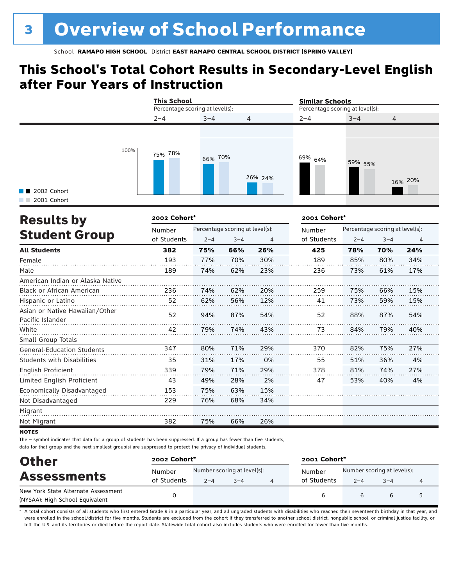## **This School's Total Cohort Results in Secondary-Level English after Four Years of Instruction**

|                                     |      | <b>This School</b><br>Percentage scoring at level(s): |                           |         | <b>Similar Schools</b><br>Percentage scoring at level(s): |         |         |
|-------------------------------------|------|-------------------------------------------------------|---------------------------|---------|-----------------------------------------------------------|---------|---------|
|                                     |      | $2 - 4$                                               | $3 - 4$<br>$\overline{4}$ |         | $2 - 4$                                                   | $3 - 4$ | 4       |
|                                     |      |                                                       |                           |         |                                                           |         |         |
| <b>1</b> 2002 Cohort<br>2001 Cohort | 100% | 75% 78%                                               | 66% 70%                   | 26% 24% | <sup>69%</sup> 64%                                        | 59% 55% | 16% 20% |

| <b>Results by</b>                                  | 2002 Cohort* |         |                                 |     | 2001 Cohort* |         | Percentage scoring at level(s):<br>$3 - 4$<br>4<br>24%<br>70%<br>80%<br>34% |     |  |  |  |  |
|----------------------------------------------------|--------------|---------|---------------------------------|-----|--------------|---------|-----------------------------------------------------------------------------|-----|--|--|--|--|
|                                                    | Number       |         | Percentage scoring at level(s): |     | Number       |         |                                                                             |     |  |  |  |  |
| <b>Student Group</b>                               | of Students  | $2 - 4$ | $3 - 4$                         | 4   | of Students  | $2 - 4$ |                                                                             |     |  |  |  |  |
| <b>All Students</b>                                | 382          | 75%     | 66%                             | 26% | 425          | 78%     |                                                                             |     |  |  |  |  |
| Female                                             | 193          | 77%     | 70%                             | 30% | 189          | 85%     |                                                                             |     |  |  |  |  |
| Male                                               | 189          | 74%     | 62%                             | 23% | 236          | 73%     | 61%                                                                         | 17% |  |  |  |  |
| American Indian or Alaska Native                   |              |         |                                 |     |              |         |                                                                             |     |  |  |  |  |
| Black or African American                          | 236          | 74%     | 62%                             | 20% | 259          | 75%     | 66%                                                                         | 15% |  |  |  |  |
| Hispanic or Latino                                 | 52           | 62%     | 56%                             | 12% | 41           | 73%     | 59%                                                                         | 15% |  |  |  |  |
| Asian or Native Hawaiian/Other<br>Pacific Islander | 52           | 94%     | 87%                             | 54% | 52           | 88%     | 87%                                                                         | 54% |  |  |  |  |
| White                                              | 42           | 79%     | 74%                             | 43% | 73           | 84%     | 79%                                                                         | 40% |  |  |  |  |
| Small Group Totals                                 |              |         |                                 |     |              |         |                                                                             |     |  |  |  |  |
| <b>General-Education Students</b>                  | 347          | 80%     | 71%                             | 29% | 370          | 82%     | 75%                                                                         | 27% |  |  |  |  |
| <b>Students with Disabilities</b>                  | 35           | 31%     | 17%                             | 0%  | 55           | 51%     | 36%                                                                         | 4%  |  |  |  |  |
| English Proficient                                 | 339          | 79%     | 71%                             | 29% | 378          | 81%     | 74%                                                                         | 27% |  |  |  |  |
| Limited English Proficient                         | 43           | 49%     | 28%                             | 2%  | 47           | 53%     | 40%                                                                         | 4%  |  |  |  |  |
| Economically Disadvantaged                         | 153          | 75%     | 63%                             | 15% |              |         |                                                                             |     |  |  |  |  |
| Not Disadvantaged                                  | 229          | 76%     | 68%                             | 34% |              |         |                                                                             |     |  |  |  |  |
| Migrant                                            |              |         |                                 |     |              |         |                                                                             |     |  |  |  |  |
| Not Migrant                                        | 382          | 75%     | 66%                             | 26% |              |         |                                                                             |     |  |  |  |  |

**NOTES** 

The – symbol indicates that data for a group of students has been suppressed. If a group has fewer than five students, data for that group and the next smallest group(s) are suppressed to protect the privacy of individual students.

| <b>Other</b>                        | 2002 Cohort* |                             |                                       | 2001 Cohort* |         |         |   |  |
|-------------------------------------|--------------|-----------------------------|---------------------------------------|--------------|---------|---------|---|--|
| <b>Assessments</b>                  | Number       | Number scoring at level(s): | Number scoring at level(s):<br>Number |              |         |         |   |  |
|                                     | of Students  | $2 - 4$                     | $3 - 4$                               | of Students  | $2 - 4$ | $3 - 4$ | 4 |  |
| New York State Alternate Assessment |              |                             |                                       |              |         |         | 5 |  |
| (NYSAA): High School Equivalent     |              |                             |                                       | 6            |         | b       |   |  |

A total cohort consists of all students who first entered Grade 9 in a particular year, and all ungraded students with disabilities who reached their seventeenth birthday in that year, and were enrolled in the school/district for five months. Students are excluded from the cohort if they transferred to another school district, nonpublic school, or criminal justice facility, or left the U.S. and its territories or died before the report date. Statewide total cohort also includes students who were enrolled for fewer than five months.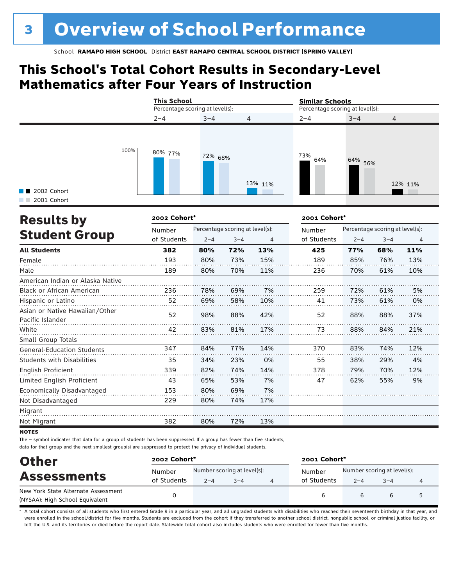## **This School's Total Cohort Results in Secondary-Level Mathematics after Four Years of Instruction**

|                                           |      | <b>This School</b><br>Percentage scoring at level(s): |         |         |            | <b>Similar Schools</b><br>Percentage scoring at level(s): |                |  |  |
|-------------------------------------------|------|-------------------------------------------------------|---------|---------|------------|-----------------------------------------------------------|----------------|--|--|
|                                           |      | $2 - 4$<br>$3 - 4$<br>$\overline{4}$                  |         |         | $2 - 4$    | $3 - 4$                                                   | $\overline{4}$ |  |  |
| $\blacksquare$ 2002 Cohort<br>2001 Cohort | 100% | 80% 77%                                               | 72% 68% | 13% 11% | 73%<br>64% | 64% 56%                                                   | 12% 11%        |  |  |

| <b>Results by</b>                                  | 2002 Cohort* |         |                                 |     | 2001 Cohort* |         |                                 |     |  |  |  |
|----------------------------------------------------|--------------|---------|---------------------------------|-----|--------------|---------|---------------------------------|-----|--|--|--|
|                                                    | Number       |         | Percentage scoring at level(s): |     | Number       |         | Percentage scoring at level(s): |     |  |  |  |
| <b>Student Group</b>                               | of Students  | $2 - 4$ | $3 - 4$                         | 4   | of Students  | $2 - 4$ | $3 - 4$                         | 4   |  |  |  |
| <b>All Students</b>                                | 382          | 80%     | 72%                             | 13% | 425          | 77%     | 68%                             | 11% |  |  |  |
| Female                                             | 193          | 80%     | 73%                             | 15% | 189          | 85%     | 76%                             | 13% |  |  |  |
| Male                                               | 189          | 80%     | 70%                             | 11% | 236          | 70%     | 61%                             | 10% |  |  |  |
| American Indian or Alaska Native                   |              |         |                                 |     |              |         |                                 |     |  |  |  |
| <b>Black or African American</b>                   | 236          | 78%     | 69%                             | 7%  | 259          | 72%     | 61%                             | 5%  |  |  |  |
| Hispanic or Latino                                 | 52           | 69%     | 58%                             | 10% | 41           | 73%     | 61%                             | 0%  |  |  |  |
| Asian or Native Hawaiian/Other<br>Pacific Islander | 52           | 98%     | 88%                             | 42% | 52           | 88%     | 88%                             | 37% |  |  |  |
| White                                              | 42           | 83%     | 81%                             | 17% | 73           | 88%     | 84%                             | 21% |  |  |  |
| Small Group Totals                                 |              |         |                                 |     |              |         |                                 |     |  |  |  |
| <b>General-Education Students</b>                  | 347          | 84%     | 77%                             | 14% | 370          | 83%     | 74%                             | 12% |  |  |  |
| <b>Students with Disabilities</b>                  | 35           | 34%     | 23%                             | 0%  | 55           | 38%     | 29%                             | 4%  |  |  |  |
| <b>English Proficient</b>                          | 339          | 82%     | 74%                             | 14% | 378          | 79%     | 70%                             | 12% |  |  |  |
| Limited English Proficient                         | 43           | 65%     | 53%                             | 7%  | 47           | 62%     | 55%                             | 9%  |  |  |  |
| Economically Disadvantaged                         | 153          | 80%     | 69%                             | 7%  |              |         |                                 |     |  |  |  |
| Not Disadvantaged                                  | 229          | 80%     | 74%                             | 17% |              |         |                                 |     |  |  |  |
| Migrant                                            |              |         |                                 |     |              |         |                                 |     |  |  |  |
| Not Migrant                                        | 382          | 80%     | 72%                             | 13% |              |         |                                 |     |  |  |  |

**NOTES** 

The – symbol indicates that data for a group of students has been suppressed. If a group has fewer than five students, data for that group and the next smallest group(s) are suppressed to protect the privacy of individual students.

| <b>Other</b>                        | 2002 Cohort* |                             |                                       | 2001 Cohort* |         |         |   |  |
|-------------------------------------|--------------|-----------------------------|---------------------------------------|--------------|---------|---------|---|--|
| <b>Assessments</b>                  | Number       | Number scoring at level(s): | Number scoring at level(s):<br>Number |              |         |         |   |  |
|                                     | of Students  | $2 - 4$                     | $3 - 4$                               | of Students  | $2 - 4$ | $3 - 4$ | 4 |  |
| New York State Alternate Assessment |              |                             |                                       |              |         |         | 5 |  |
| (NYSAA): High School Equivalent     |              |                             |                                       | 6            |         | b       |   |  |

A total cohort consists of all students who first entered Grade 9 in a particular year, and all ungraded students with disabilities who reached their seventeenth birthday in that year, and were enrolled in the school/district for five months. Students are excluded from the cohort if they transferred to another school district, nonpublic school, or criminal justice facility, or left the U.S. and its territories or died before the report date. Statewide total cohort also includes students who were enrolled for fewer than five months.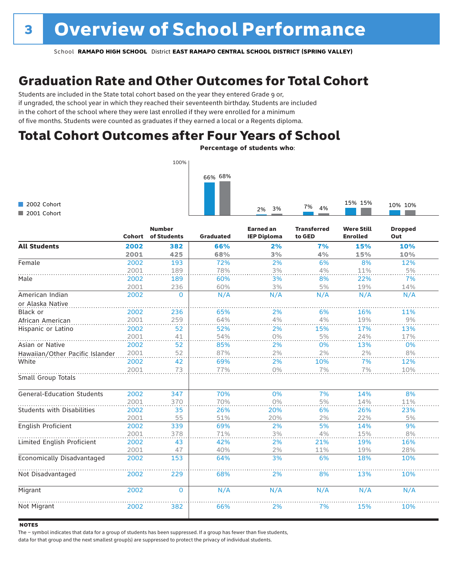## Graduation Rate and Other Outcomes for Total Cohort

Students are included in the State total cohort based on the year they entered Grade 9 or, if ungraded, the school year in which they reached their seventeenth birthday. Students are included in the cohort of the school where they were last enrolled if they were enrolled for a minimum of five months. Students were counted as graduates if they earned a local or a Regents diploma.

## Total Cohort Outcomes after Four Years of School

Percentage of students who:



|                                   | <b>Cohort</b> | <b>Number</b><br>of Students | Graduated | <b>Earned an</b><br><b>IEP Diploma</b> | <b>Transferred</b><br>to GED | <b>Were Still</b><br><b>Enrolled</b> | <b>Dropped</b><br>Out |
|-----------------------------------|---------------|------------------------------|-----------|----------------------------------------|------------------------------|--------------------------------------|-----------------------|
| <b>All Students</b>               | 2002          | 382                          | 66%       | 2%                                     | 7%                           | 15%                                  | 10%                   |
|                                   | 2001          | 425                          | 68%       | 3%                                     | 4%                           | 15%                                  | 10%                   |
| Female                            | 2002          | 193                          | 72%       | 2%                                     | 6%                           | 8%                                   | 12%                   |
|                                   | 2001          | 189                          | 78%       | 3%                                     | 4%                           | 11%                                  | $5%$                  |
| Male                              | 2002          | 189                          | 60%       | 3%                                     | 8%                           | 22%                                  | 7%                    |
|                                   | 2001          | 236                          | 60%       | 3%                                     | 5%                           | 19%                                  | 14%                   |
| American Indian                   | 2002          | $\Omega$                     | N/A       | N/A                                    | N/A                          | N/A                                  | N/A                   |
| or Alaska Native                  |               |                              |           |                                        |                              |                                      |                       |
| Black or                          | 2002          | 236                          | 65%       | 2%                                     | 6%                           | 16%                                  | 11%                   |
| African American                  | 2001          | 259                          | 64%       | 4%                                     | 4%                           | 19%                                  | 9%                    |
| Hispanic or Latino                | 2002          | 52                           | 52%       | 2%                                     | 15%                          | 17%                                  | 13%                   |
|                                   | 2001          | 41                           | 54%       | 0%                                     | 5%                           | 24%                                  | 17%                   |
| Asian or Native                   | 2002          | 52                           | 85%       | 2%                                     | 0%                           | 13%                                  | 0%                    |
| Hawaiian/Other Pacific Islander   | 2001          | 52                           | 87%       | 2%                                     | 2%                           | 2%                                   | 8%                    |
| White                             | 2002          | 42                           | 69%       | 2%                                     | 10%                          | 7%                                   | 12%                   |
|                                   | 2001          | 73                           | 77%       | 0%                                     | 7%                           | 7%                                   | 10%                   |
| Small Group Totals                |               |                              |           |                                        |                              |                                      |                       |
| <b>General-Education Students</b> | 2002          | 347                          | 70%       | 0%                                     | 7%                           | 14%                                  | 8%                    |
|                                   | 2001          | 370                          | 70%       | 0%                                     | 5%                           | 14%                                  | 11%                   |
| <b>Students with Disabilities</b> | 2002          | 35                           | 26%       | 20%                                    | 6%                           | 26%                                  | 23%                   |
|                                   | 2001          | 55                           | 51%       | 20%                                    | 2%                           | 22%                                  | 5%                    |
| English Proficient                | 2002          | 339                          | 69%       | 2%                                     | 5%                           | 14%                                  | 9%                    |
|                                   | 2001          | 378                          | 71%       | 3%                                     | 4%                           | 15%                                  | 8%                    |
| Limited English Proficient        | 2002          | 43                           | 42%       | 2%                                     | 21%                          | 19%                                  | 16%                   |
|                                   | 2001          | 47                           | 40%       | 2%                                     | 11%                          | 19%                                  | 28%                   |
| Economically Disadvantaged        | 2002          | 153                          | 64%       | 3%                                     | 6%                           | 18%                                  | 10%                   |
| Not Disadvantaged                 | 2002          | 229                          | 68%       | 2%                                     | 8%                           | 13%                                  | 10%                   |
| Migrant                           | 2002          | $\mathbf{0}$                 | N/A       | N/A                                    | N/A                          | N/A                                  | N/A                   |
| Not Migrant                       | 2002          | 382                          | 66%       | 2%                                     | 7%                           | 15%                                  | 10%                   |

#### **NOTES**

2002 Cohort 2001 Cohort

The – symbol indicates that data for a group of students has been suppressed. If a group has fewer than five students,

data for that group and the next smallest group(s) are suppressed to protect the privacy of individual students.